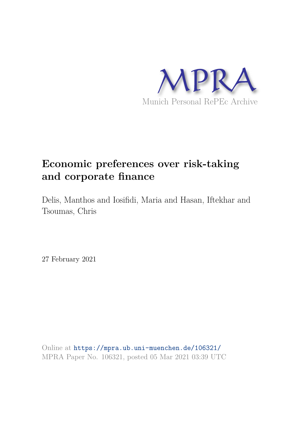

# **Economic preferences over risk-taking and corporate finance**

Delis, Manthos and Iosifidi, Maria and Hasan, Iftekhar and Tsoumas, Chris

27 February 2021

Online at https://mpra.ub.uni-muenchen.de/106321/ MPRA Paper No. 106321, posted 05 Mar 2021 03:39 UTC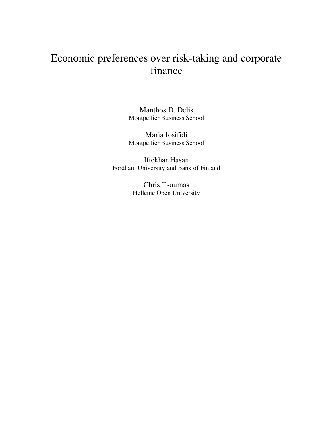# Economic preferences over risk-taking and corporate finance

Manthos D. Delis Montpellier Business School

Maria Iosifidi Montpellier Business School

Iftekhar Hasan Fordham University and Bank of Finland

> Chris Tsoumas Hellenic Open University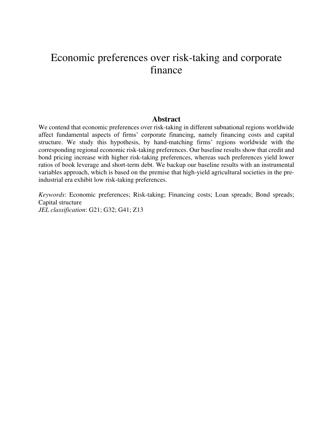# Economic preferences over risk-taking and corporate finance

# **Abstract**

We contend that economic preferences over risk-taking in different subnational regions worldwide affect fundamental aspects of firms' corporate financing, namely financing costs and capital structure. We study this hypothesis, by hand-matching firms' regions worldwide with the corresponding regional economic risk-taking preferences. Our baseline results show that credit and bond pricing increase with higher risk-taking preferences, whereas such preferences yield lower ratios of book leverage and short-term debt. We backup our baseline results with an instrumental variables approach, which is based on the premise that high-yield agricultural societies in the preindustrial era exhibit low risk-taking preferences.

*Keywords*: Economic preferences; Risk-taking; Financing costs; Loan spreads; Bond spreads; Capital structure *JEL classification*: G21; G32; G41; Z13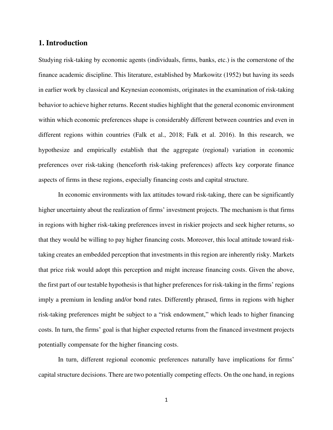# **1. Introduction**

Studying risk-taking by economic agents (individuals, firms, banks, etc.) is the cornerstone of the finance academic discipline. This literature, established by Markowitz (1952) but having its seeds in earlier work by classical and Keynesian economists, originates in the examination of risk-taking behavior to achieve higher returns. Recent studies highlight that the general economic environment within which economic preferences shape is considerably different between countries and even in different regions within countries (Falk et al., 2018; Falk et al. 2016). In this research, we hypothesize and empirically establish that the aggregate (regional) variation in economic preferences over risk-taking (henceforth risk-taking preferences) affects key corporate finance aspects of firms in these regions, especially financing costs and capital structure.

In economic environments with lax attitudes toward risk-taking, there can be significantly higher uncertainty about the realization of firms' investment projects. The mechanism is that firms in regions with higher risk-taking preferences invest in riskier projects and seek higher returns, so that they would be willing to pay higher financing costs. Moreover, this local attitude toward risktaking creates an embedded perception that investments in this region are inherently risky. Markets that price risk would adopt this perception and might increase financing costs. Given the above, the first part of our testable hypothesis is that higher preferences for risk-taking in the firms' regions imply a premium in lending and/or bond rates. Differently phrased, firms in regions with higher risk-taking preferences might be subject to a "risk endowment," which leads to higher financing costs. In turn, the firms' goal is that higher expected returns from the financed investment projects potentially compensate for the higher financing costs.

In turn, different regional economic preferences naturally have implications for firms' capital structure decisions. There are two potentially competing effects. On the one hand, in regions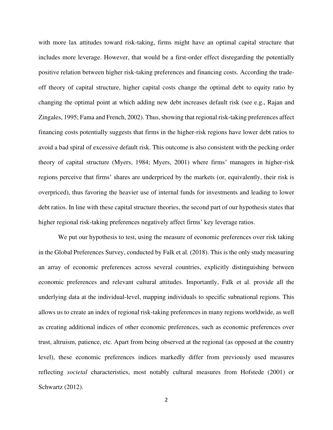with more lax attitudes toward risk-taking, firms might have an optimal capital structure that includes more leverage. However, that would be a first-order effect disregarding the potentially positive relation between higher risk-taking preferences and financing costs. According the tradeoff theory of capital structure, higher capital costs change the optimal debt to equity ratio by changing the optimal point at which adding new debt increases default risk (see e.g., Rajan and Zingales, 1995; Fama and French, 2002). Thus, showing that regional risk-taking preferences affect financing costs potentially suggests that firms in the higher-risk regions have lower debt ratios to avoid a bad spiral of excessive default risk. This outcome is also consistent with the pecking order theory of capital structure (Myers, 1984; Myers, 2001) where firms' managers in higher-risk regions perceive that firms' shares are underpriced by the markets (or, equivalently, their risk is overpriced), thus favoring the heavier use of internal funds for investments and leading to lower debt ratios. In line with these capital structure theories, the second part of our hypothesis states that higher regional risk-taking preferences negatively affect firms' key leverage ratios.

We put our hypothesis to test, using the measure of economic preferences over risk taking in the Global Preferences Survey, conducted by Falk et al. (2018). This is the only study measuring an array of economic preferences across several countries, explicitly distinguishing between economic preferences and relevant cultural attitudes. Importantly, Falk et al. provide all the underlying data at the individual-level, mapping individuals to specific subnational regions. This allows us to create an index of regional risk-taking preferences in many regions worldwide, as well as creating additional indices of other economic preferences, such as economic preferences over trust, altruism, patience, etc. Apart from being observed at the regional (as opposed at the country level), these economic preferences indices markedly differ from previously used measures reflecting *societal* characteristics, most notably cultural measures from Hofstede (2001) or Schwartz (2012).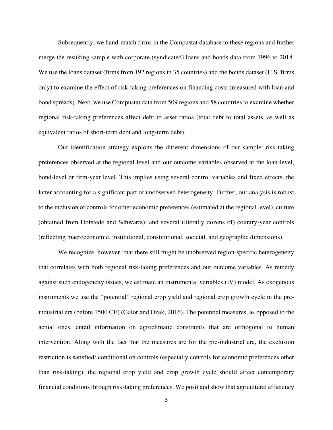Subsequently, we hand-match firms in the Compustat database to these regions and further merge the resulting sample with corporate (syndicated) loans and bonds data from 1996 to 2018. We use the loans dataset (firms from 192 regions in 35 countries) and the bonds dataset (U.S. firms only) to examine the effect of risk-taking preferences on financing costs (measured with loan and bond spreads). Next, we use Compustat data from 509 regions and 58 countries to examine whether regional risk-taking preferences affect debt to asset ratios (total debt to total assets, as well as equivalent ratios of short-term debt and long-term debt).

Our identification strategy exploits the different dimensions of our sample: risk-taking preferences observed at the regional level and our outcome variables observed at the loan-level, bond-level or firm-year level. This implies using several control variables and fixed effects, the latter accounting for a significant part of unobserved heterogeneity. Further, our analysis is robust to the inclusion of controls for other economic preferences (estimated at the regional level), culture (obtained from Hofstede and Schwartz), and several (literally dozens of) country-year controls (reflecting macroeconomic, institutional, constitutional, societal, and geographic dimensions).

We recognize, however, that there still might be unobserved region-specific heterogeneity that correlates with both regional risk-taking preferences and our outcome variables. As remedy against such endogeneity issues, we estimate an instrumental variables (IV) model. As exogenous instruments we use the "potential" regional crop yield and regional crop growth cycle in the preindustrial era (before 1500 CE) (Galor and Özak, 2016). The potential measures, as opposed to the actual ones, entail information on agroclimatic constraints that are orthogonal to human intervention. Along with the fact that the measures are for the pre-industrial era, the exclusion restriction is satisfied: conditional on controls (especially controls for economic preferences other than risk-taking), the regional crop yield and crop growth cycle should affect contemporary financial conditions through risk-taking preferences. We posit and show that agricultural efficiency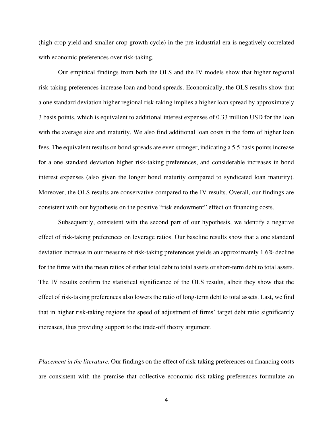(high crop yield and smaller crop growth cycle) in the pre-industrial era is negatively correlated with economic preferences over risk-taking.

Our empirical findings from both the OLS and the IV models show that higher regional risk-taking preferences increase loan and bond spreads. Economically, the OLS results show that a one standard deviation higher regional risk-taking implies a higher loan spread by approximately 3 basis points, which is equivalent to additional interest expenses of 0.33 million USD for the loan with the average size and maturity. We also find additional loan costs in the form of higher loan fees. The equivalent results on bond spreads are even stronger, indicating a 5.5 basis points increase for a one standard deviation higher risk-taking preferences, and considerable increases in bond interest expenses (also given the longer bond maturity compared to syndicated loan maturity). Moreover, the OLS results are conservative compared to the IV results. Overall, our findings are consistent with our hypothesis on the positive "risk endowment" effect on financing costs.

Subsequently, consistent with the second part of our hypothesis, we identify a negative effect of risk-taking preferences on leverage ratios. Our baseline results show that a one standard deviation increase in our measure of risk-taking preferences yields an approximately 1.6% decline for the firms with the mean ratios of either total debt to total assets or short-term debt to total assets. The IV results confirm the statistical significance of the OLS results, albeit they show that the effect of risk-taking preferences also lowers the ratio of long-term debt to total assets. Last, we find that in higher risk-taking regions the speed of adjustment of firms' target debt ratio significantly increases, thus providing support to the trade-off theory argument.

*Placement in the literature.* Our findings on the effect of risk-taking preferences on financing costs are consistent with the premise that collective economic risk-taking preferences formulate an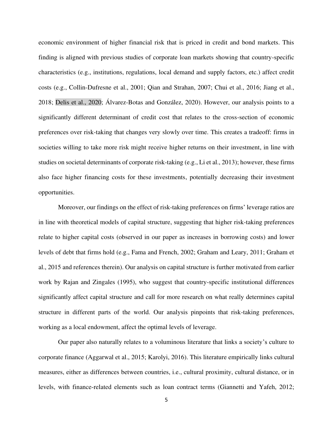economic environment of higher financial risk that is priced in credit and bond markets. This finding is aligned with previous studies of corporate loan markets showing that country-specific characteristics (e.g., institutions, regulations, local demand and supply factors, etc.) affect credit costs (e.g., Collin-Dufresne et al., 2001; Qian and Strahan, 2007; Chui et al., 2016; Jiang et al., 2018; Delis et al., 2020; Álvarez-Botas and González, 2020). However, our analysis points to a significantly different determinant of credit cost that relates to the cross-section of economic preferences over risk-taking that changes very slowly over time. This creates a tradeoff: firms in societies willing to take more risk might receive higher returns on their investment, in line with studies on societal determinants of corporate risk-taking (e.g., Li et al., 2013); however, these firms also face higher financing costs for these investments, potentially decreasing their investment opportunities.

Moreover, our findings on the effect of risk-taking preferences on firms' leverage ratios are in line with theoretical models of capital structure, suggesting that higher risk-taking preferences relate to higher capital costs (observed in our paper as increases in borrowing costs) and lower levels of debt that firms hold (e.g., Fama and French, 2002; Graham and Leary, 2011; Graham et al., 2015 and references therein). Our analysis on capital structure is further motivated from earlier work by Rajan and Zingales (1995), who suggest that country-specific institutional differences significantly affect capital structure and call for more research on what really determines capital structure in different parts of the world. Our analysis pinpoints that risk-taking preferences, working as a local endowment, affect the optimal levels of leverage.

Our paper also naturally relates to a voluminous literature that links a society's culture to corporate finance (Aggarwal et al., 2015; Karolyi, 2016). This literature empirically links cultural measures, either as differences between countries, i.e., cultural proximity, cultural distance, or in levels, with finance-related elements such as loan contract terms (Giannetti and Yafeh, 2012;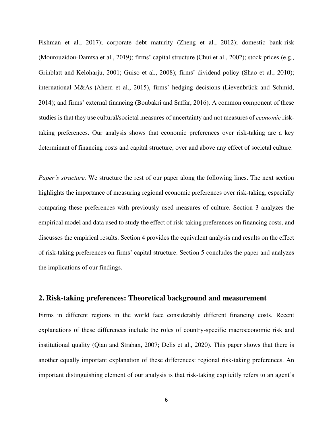Fishman et al., 2017); corporate debt maturity (Zheng et al., 2012); domestic bank-risk (Mourouzidou-Damtsa et al., 2019); firms' capital structure (Chui et al., 2002); stock prices (e.g., Grinblatt and Keloharju, 2001; Guiso et al., 2008); firms' dividend policy (Shao et al., 2010); international M&As (Ahern et al., 2015), firms' hedging decisions (Lievenbrück and Schmid, 2014); and firms' external financing (Boubakri and Saffar, 2016). A common component of these studies is that they use cultural/societal measures of uncertainty and not measures of *economic* risktaking preferences. Our analysis shows that economic preferences over risk-taking are a key determinant of financing costs and capital structure, over and above any effect of societal culture.

*Paper's structure.* We structure the rest of our paper along the following lines. The next section highlights the importance of measuring regional economic preferences over risk-taking, especially comparing these preferences with previously used measures of culture. Section 3 analyzes the empirical model and data used to study the effect of risk-taking preferences on financing costs, and discusses the empirical results. Section 4 provides the equivalent analysis and results on the effect of risk-taking preferences on firms' capital structure. Section 5 concludes the paper and analyzes the implications of our findings.

# **2. Risk-taking preferences: Theoretical background and measurement**

Firms in different regions in the world face considerably different financing costs. Recent explanations of these differences include the roles of country-specific macroeconomic risk and institutional quality (Qian and Strahan, 2007; Delis et al., 2020). This paper shows that there is another equally important explanation of these differences: regional risk-taking preferences. An important distinguishing element of our analysis is that risk-taking explicitly refers to an agent's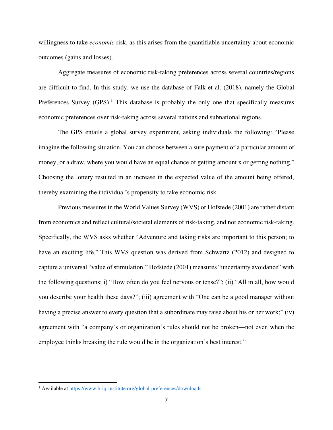willingness to take *economic* risk, as this arises from the quantifiable uncertainty about economic outcomes (gains and losses).

Aggregate measures of economic risk-taking preferences across several countries/regions are difficult to find. In this study, we use the database of Falk et al. (2018), namely the Global Preferences Survey  $(GPS)$ .<sup>1</sup> This database is probably the only one that specifically measures economic preferences over risk-taking across several nations and subnational regions.

The GPS entails a global survey experiment, asking individuals the following: "Please imagine the following situation. You can choose between a sure payment of a particular amount of money, or a draw, where you would have an equal chance of getting amount x or getting nothing." Choosing the lottery resulted in an increase in the expected value of the amount being offered, thereby examining the individual's propensity to take economic risk.

Previous measures in the World Values Survey (WVS) or Hofstede (2001) are rather distant from economics and reflect cultural/societal elements of risk-taking, and not economic risk-taking. Specifically, the WVS asks whether "Adventure and taking risks are important to this person; to have an exciting life." This WVS question was derived from Schwartz (2012) and designed to capture a universal "value of stimulation." Hofstede (2001) measures "uncertainty avoidance" with the following questions: i) "How often do you feel nervous or tense?"; (ii) "All in all, how would you describe your health these days?"; (iii) agreement with "One can be a good manager without having a precise answer to every question that a subordinate may raise about his or her work;" (iv) agreement with "a company's or organization's rules should not be broken—not even when the employee thinks breaking the rule would be in the organization's best interest."

<sup>&</sup>lt;sup>1</sup> Available a[t https://www.briq-institute.org/global-preferences/downloads.](https://www.briq-institute.org/global-preferences/downloads)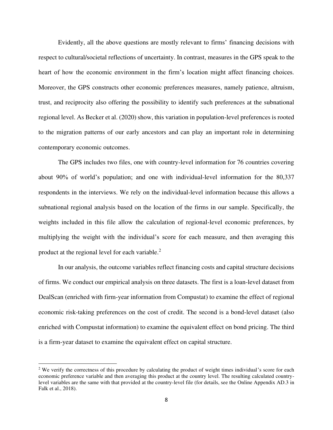Evidently, all the above questions are mostly relevant to firms' financing decisions with respect to cultural/societal reflections of uncertainty. In contrast, measures in the GPS speak to the heart of how the economic environment in the firm's location might affect financing choices. Moreover, the GPS constructs other economic preferences measures, namely patience, altruism, trust, and reciprocity also offering the possibility to identify such preferences at the subnational regional level. As Becker et al. (2020) show, this variation in population-level preferences is rooted to the migration patterns of our early ancestors and can play an important role in determining contemporary economic outcomes.

The GPS includes two files, one with country-level information for 76 countries covering about 90% of world's population; and one with individual-level information for the 80,337 respondents in the interviews. We rely on the individual-level information because this allows a subnational regional analysis based on the location of the firms in our sample. Specifically, the weights included in this file allow the calculation of regional-level economic preferences, by multiplying the weight with the individual's score for each measure, and then averaging this product at the regional level for each variable.<sup>2</sup>

In our analysis, the outcome variables reflect financing costs and capital structure decisions of firms. We conduct our empirical analysis on three datasets. The first is a loan-level dataset from DealScan (enriched with firm-year information from Compustat) to examine the effect of regional economic risk-taking preferences on the cost of credit. The second is a bond-level dataset (also enriched with Compustat information) to examine the equivalent effect on bond pricing. The third is a firm-year dataset to examine the equivalent effect on capital structure.

 $2$  We verify the correctness of this procedure by calculating the product of weight times individual's score for each economic preference variable and then averaging this product at the country level. The resulting calculated countrylevel variables are the same with that provided at the country-level file (for details, see the Online Appendix AD.3 in Falk et al., 2018).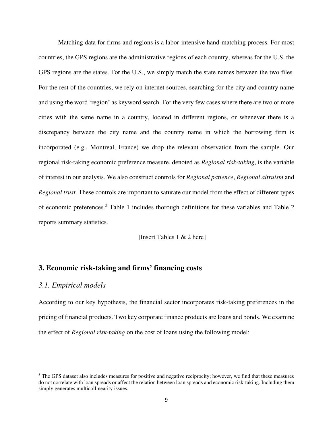Matching data for firms and regions is a labor-intensive hand-matching process. For most countries, the GPS regions are the administrative regions of each country, whereas for the U.S. the GPS regions are the states. For the U.S., we simply match the state names between the two files. For the rest of the countries, we rely on internet sources, searching for the city and country name and using the word 'region' as keyword search. For the very few cases where there are two or more cities with the same name in a country, located in different regions, or whenever there is a discrepancy between the city name and the country name in which the borrowing firm is incorporated (e.g., Montreal, France) we drop the relevant observation from the sample. Our regional risk-taking economic preference measure, denoted as *Regional risk-taking*, is the variable of interest in our analysis. We also construct controls for *Regional patience*, *Regional altruism* and *Regional trust*. These controls are important to saturate our model from the effect of different types of economic preferences.<sup>3</sup> Table 1 includes thorough definitions for these variables and Table 2 reports summary statistics.

[Insert Tables 1 & 2 here]

# **3. Economic risk-taking and firms' financing costs**

# *3.1. Empirical models*

According to our key hypothesis, the financial sector incorporates risk-taking preferences in the pricing of financial products. Two key corporate finance products are loans and bonds. We examine the effect of *Regional risk-taking* on the cost of loans using the following model:

<sup>&</sup>lt;sup>3</sup> The GPS dataset also includes measures for positive and negative reciprocity; however, we find that these measures do not correlate with loan spreads or affect the relation between loan spreads and economic risk-taking. Including them simply generates multicollinearity issues.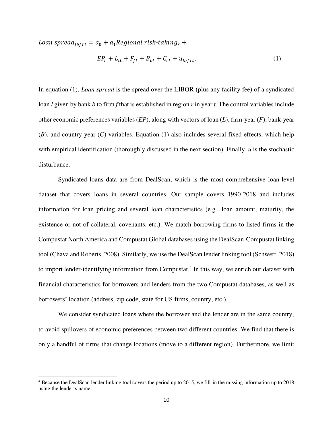Loan spread<sub>lbfrt</sub> =  $a_0 + a_1$  Regional risk-taking<sub>r</sub> +

$$
EP_r + L_{lt} + F_{ft} + B_{bt} + C_{ct} + u_{lbfrt}.
$$
 (1)

In equation (1), *Loan spread* is the spread over the LIBOR (plus any facility fee) of a syndicated loan *l* given by bank *b* to firm *f* that is established in region *r* in year *t*. The control variables include other economic preferences variables (*EP*), along with vectors of loan (*L*), firm-year (*F*), bank-year (*B*), and country-year (*C*) variables. Equation (1) also includes several fixed effects, which help with empirical identification (thoroughly discussed in the next section). Finally, *u* is the stochastic disturbance.

Syndicated loans data are from DealScan, which is the most comprehensive loan-level dataset that covers loans in several countries. Our sample covers 1990-2018 and includes information for loan pricing and several loan characteristics (e.g., loan amount, maturity, the existence or not of collateral, covenants, etc.). We match borrowing firms to listed firms in the Compustat North America and Compustat Global databases using the DealScan-Compustat linking tool (Chava and Roberts, 2008). Similarly, we use the DealScan lender linking tool (Schwert, 2018) to import lender-identifying information from Compustat.<sup>4</sup> In this way, we enrich our dataset with financial characteristics for borrowers and lenders from the two Compustat databases, as well as borrowers' location (address, zip code, state for US firms, country, etc.).

We consider syndicated loans where the borrower and the lender are in the same country, to avoid spillovers of economic preferences between two different countries. We find that there is only a handful of firms that change locations (move to a different region). Furthermore, we limit

<sup>&</sup>lt;sup>4</sup> Because the DealScan lender linking tool covers the period up to 2015, we fill-in the missing information up to 2018 using the lender's name.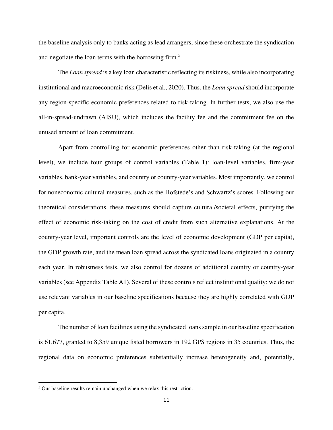the baseline analysis only to banks acting as lead arrangers, since these orchestrate the syndication and negotiate the loan terms with the borrowing firm.<sup>5</sup>

The *Loan spread* is a key loan characteristic reflecting its riskiness, while also incorporating institutional and macroeconomic risk (Delis et al., 2020). Thus, the *Loan spread* should incorporate any region-specific economic preferences related to risk-taking. In further tests, we also use the all-in-spread-undrawn (AISU), which includes the facility fee and the commitment fee on the unused amount of loan commitment.

Apart from controlling for economic preferences other than risk-taking (at the regional level), we include four groups of control variables (Table 1): loan-level variables, firm-year variables, bank-year variables, and country or country-year variables. Most importantly, we control for noneconomic cultural measures, such as the Hofstede's and Schwartz's scores. Following our theoretical considerations, these measures should capture cultural/societal effects, purifying the effect of economic risk-taking on the cost of credit from such alternative explanations. At the country-year level, important controls are the level of economic development (GDP per capita), the GDP growth rate, and the mean loan spread across the syndicated loans originated in a country each year. In robustness tests, we also control for dozens of additional country or country-year variables (see Appendix Table A1). Several of these controls reflect institutional quality; we do not use relevant variables in our baseline specifications because they are highly correlated with GDP per capita.

The number of loan facilities using the syndicated loans sample in our baseline specification is 61,677, granted to 8,359 unique listed borrowers in 192 GPS regions in 35 countries. Thus, the regional data on economic preferences substantially increase heterogeneity and, potentially,

<sup>&</sup>lt;sup>5</sup> Our baseline results remain unchanged when we relax this restriction.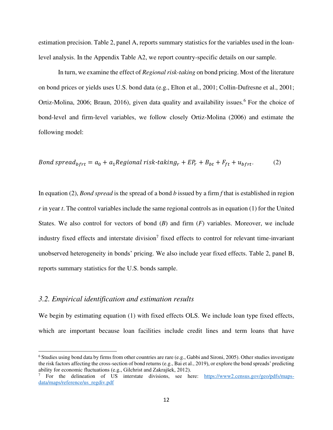estimation precision. Table 2, panel A, reports summary statistics for the variables used in the loanlevel analysis. In the Appendix Table A2, we report country-specific details on our sample.

In turn, we examine the effect of *Regional risk-taking* on bond pricing. Most of the literature on bond prices or yields uses U.S. bond data (e.g., Elton et al., 2001; Collin-Dufresne et al., 2001; Ortiz-Molina, 2006; Braun, 2016), given data quality and availability issues.<sup>6</sup> For the choice of bond-level and firm-level variables, we follow closely Ortiz-Molina (2006) and estimate the following model:

*Bond spread<sub>brrt</sub> = a<sub>0</sub> + a<sub>1</sub> Regional risk-taking<sub>r</sub> + 
$$
EP_r + B_{bt} + F_{ft} + u_{bfrt}
$$
. (2)*

In equation (2), *Bond spread* is the spread of a bond *b* issued by a firm *f* that is established in region *r* in year *t*. The control variables include the same regional controls as in equation (1) for the United States. We also control for vectors of bond (*B*) and firm (*F*) variables. Moreover, we include industry fixed effects and interstate division<sup>7</sup> fixed effects to control for relevant time-invariant unobserved heterogeneity in bonds' pricing. We also include year fixed effects. Table 2, panel B, reports summary statistics for the U.S. bonds sample.

# *3.2. Empirical identification and estimation results*

We begin by estimating equation (1) with fixed effects OLS. We include loan type fixed effects, which are important because loan facilities include credit lines and term loans that have

<sup>&</sup>lt;sup>6</sup> Studies using bond data by firms from other countries are rare (e.g., Gabbi and Sironi, 2005). Other studies investigate the risk factors affecting the cross-section of bond returns (e.g., Bai et al., 2019), or explore the bond spreads' predicting ability for economic fluctuations (e.g., Gilchrist and Zakrajšek, 2012).

<sup>7</sup> For the delineation of US interstate divisions, see here: [https://www2.census.gov/geo/pdfs/maps](https://www2.census.gov/geo/pdfs/maps-data/maps/reference/us_regdiv.pdf)[data/maps/reference/us\\_regdiv.pdf](https://www2.census.gov/geo/pdfs/maps-data/maps/reference/us_regdiv.pdf)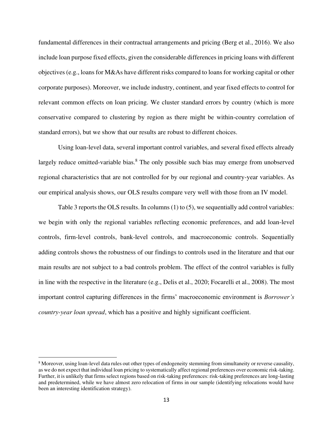fundamental differences in their contractual arrangements and pricing (Berg et al., 2016). We also include loan purpose fixed effects, given the considerable differences in pricing loans with different objectives (e.g., loans for M&As have different risks compared to loans for working capital or other corporate purposes). Moreover, we include industry, continent, and year fixed effects to control for relevant common effects on loan pricing. We cluster standard errors by country (which is more conservative compared to clustering by region as there might be within-country correlation of standard errors), but we show that our results are robust to different choices.

 Using loan-level data, several important control variables, and several fixed effects already largely reduce omitted-variable bias.<sup>8</sup> The only possible such bias may emerge from unobserved regional characteristics that are not controlled for by our regional and country-year variables. As our empirical analysis shows, our OLS results compare very well with those from an IV model.

Table 3 reports the OLS results. In columns (1) to (5), we sequentially add control variables: we begin with only the regional variables reflecting economic preferences, and add loan-level controls, firm-level controls, bank-level controls, and macroeconomic controls. Sequentially adding controls shows the robustness of our findings to controls used in the literature and that our main results are not subject to a bad controls problem. The effect of the control variables is fully in line with the respective in the literature (e.g., Delis et al., 2020; Focarelli et al., 2008). The most important control capturing differences in the firms' macroeconomic environment is *Borrower's country-year loan spread*, which has a positive and highly significant coefficient.

<sup>&</sup>lt;sup>8</sup> Moreover, using loan-level data rules out other types of endogeneity stemming from simultaneity or reverse causality, as we do not expect that individual loan pricing to systematically affect regional preferences over economic risk-taking. Further, it is unlikely that firms select regions based on risk-taking preferences: risk-taking preferences are long-lasting and predetermined, while we have almost zero relocation of firms in our sample (identifying relocations would have been an interesting identification strategy).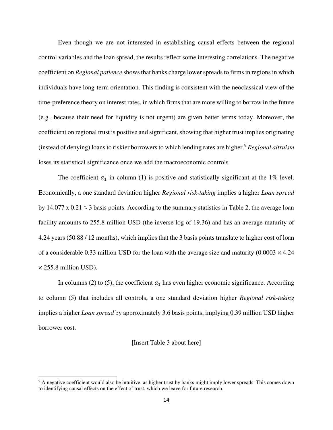Even though we are not interested in establishing causal effects between the regional control variables and the loan spread, the results reflect some interesting correlations. The negative coefficient on *Regional patience* shows that banks charge lower spreads to firms in regions in which individuals have long-term orientation. This finding is consistent with the neoclassical view of the time-preference theory on interest rates, in which firms that are more willing to borrow in the future (e.g., because their need for liquidity is not urgent) are given better terms today. Moreover, the coefficient on regional trust is positive and significant, showing that higher trust implies originating (instead of denying) loans to riskier borrowers to which lending rates are higher.<sup>9</sup> *Regional altruism* loses its statistical significance once we add the macroeconomic controls.

The coefficient  $a_1$  in column (1) is positive and statistically significant at the 1% level. Economically, a one standard deviation higher *Regional risk-taking* implies a higher *Loan spread* by 14.077 x 0.21  $\approx$  3 basis points. According to the summary statistics in Table 2, the average loan facility amounts to 255.8 million USD (the inverse log of 19.36) and has an average maturity of 4.24 years (50.88 / 12 months), which implies that the 3 basis points translate to higher cost of loan of a considerable 0.33 million USD for the loan with the average size and maturity  $(0.0003 \times 4.24)$  $\times$  255.8 million USD).

In columns (2) to (5), the coefficient  $a_1$  has even higher economic significance. According to column (5) that includes all controls, a one standard deviation higher *Regional risk-taking* implies a higher *Loan spread* by approximately 3.6 basis points, implying 0.39 million USD higher borrower cost.

#### [Insert Table 3 about here]

<sup>&</sup>lt;sup>9</sup> A negative coefficient would also be intuitive, as higher trust by banks might imply lower spreads. This comes down to identifying causal effects on the effect of trust, which we leave for future research.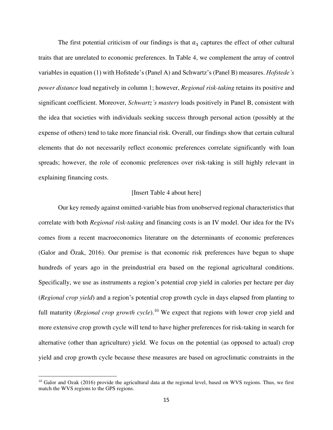The first potential criticism of our findings is that  $a_1$  captures the effect of other cultural traits that are unrelated to economic preferences. In Table 4, we complement the array of control variables in equation (1) with Hofstede's (Panel A) and Schwartz's (Panel B) measures. *Hofstede's power distance* load negatively in column 1; however, *Regional risk-taking* retains its positive and significant coefficient. Moreover, *Schwartz's mastery* loads positively in Panel B, consistent with the idea that societies with individuals seeking success through personal action (possibly at the expense of others) tend to take more financial risk. Overall, our findings show that certain cultural elements that do not necessarily reflect economic preferences correlate significantly with loan spreads; however, the role of economic preferences over risk-taking is still highly relevant in explaining financing costs.

# [Insert Table 4 about here]

Our key remedy against omitted-variable bias from unobserved regional characteristics that correlate with both *Regional risk-taking* and financing costs is an IV model. Our idea for the IVs comes from a recent macroeconomics literature on the determinants of economic preferences (Galor and Özak, 2016). Our premise is that economic risk preferences have begun to shape hundreds of years ago in the preindustrial era based on the regional agricultural conditions. Specifically, we use as instruments a region's potential crop yield in calories per hectare per day (*Regional crop yield*) and a region's potential crop growth cycle in days elapsed from planting to full maturity (*Regional crop growth cycle*).<sup>10</sup> We expect that regions with lower crop yield and more extensive crop growth cycle will tend to have higher preferences for risk-taking in search for alternative (other than agriculture) yield. We focus on the potential (as opposed to actual) crop yield and crop growth cycle because these measures are based on agroclimatic constraints in the

 $10$  Galor and Ozak (2016) provide the agricultural data at the regional level, based on WVS regions. Thus, we first match the WVS regions to the GPS regions.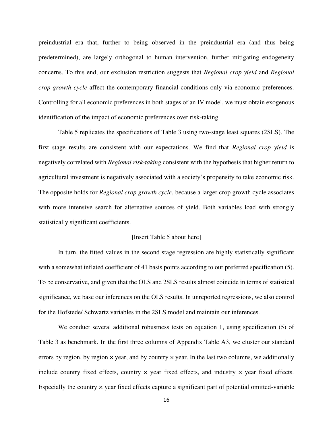preindustrial era that, further to being observed in the preindustrial era (and thus being predetermined), are largely orthogonal to human intervention, further mitigating endogeneity concerns. To this end, our exclusion restriction suggests that *Regional crop yield* and *Regional crop growth cycle* affect the contemporary financial conditions only via economic preferences. Controlling for all economic preferences in both stages of an IV model, we must obtain exogenous identification of the impact of economic preferences over risk-taking.

Table 5 replicates the specifications of Table 3 using two-stage least squares (2SLS). The first stage results are consistent with our expectations. We find that *Regional crop yield* is negatively correlated with *Regional risk-taking* consistent with the hypothesis that higher return to agricultural investment is negatively associated with a society's propensity to take economic risk. The opposite holds for *Regional crop growth cycle*, because a larger crop growth cycle associates with more intensive search for alternative sources of yield. Both variables load with strongly statistically significant coefficients.

# [Insert Table 5 about here]

In turn, the fitted values in the second stage regression are highly statistically significant with a somewhat inflated coefficient of 41 basis points according to our preferred specification (5). To be conservative, and given that the OLS and 2SLS results almost coincide in terms of statistical significance, we base our inferences on the OLS results. In unreported regressions, we also control for the Hofstede/ Schwartz variables in the 2SLS model and maintain our inferences.

We conduct several additional robustness tests on equation 1, using specification (5) of Table 3 as benchmark. In the first three columns of Appendix Table A3, we cluster our standard errors by region, by region  $\times$  year, and by country  $\times$  year. In the last two columns, we additionally include country fixed effects, country  $\times$  year fixed effects, and industry  $\times$  year fixed effects. Especially the country  $\times$  year fixed effects capture a significant part of potential omitted-variable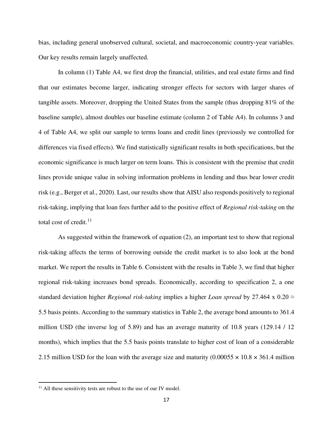bias, including general unobserved cultural, societal, and macroeconomic country-year variables. Our key results remain largely unaffected.

In column (1) Table A4, we first drop the financial, utilities, and real estate firms and find that our estimates become larger, indicating stronger effects for sectors with larger shares of tangible assets. Moreover, dropping the United States from the sample (thus dropping 81% of the baseline sample), almost doubles our baseline estimate (column 2 of Table A4). In columns 3 and 4 of Table A4, we split our sample to terms loans and credit lines (previously we controlled for differences via fixed effects). We find statistically significant results in both specifications, but the economic significance is much larger on term loans. This is consistent with the premise that credit lines provide unique value in solving information problems in lending and thus bear lower credit risk (e.g., Berger et al., 2020). Last, our results show that AISU also responds positively to regional risk-taking, implying that loan fees further add to the positive effect of *Regional risk-taking* on the total cost of credit.<sup>11</sup>

As suggested within the framework of equation (2), an important test to show that regional risk-taking affects the terms of borrowing outside the credit market is to also look at the bond market. We report the results in Table 6. Consistent with the results in Table 3, we find that higher regional risk-taking increases bond spreads. Economically, according to specification 2, a one standard deviation higher *Regional risk-taking* implies a higher *Loan spread* by 27.464 x 0.20 ≈ 5.5 basis points. According to the summary statistics in Table 2, the average bond amounts to 361.4 million USD (the inverse log of 5.89) and has an average maturity of 10.8 years (129.14 / 12 months), which implies that the 5.5 basis points translate to higher cost of loan of a considerable 2.15 million USD for the loan with the average size and maturity  $(0.00055 \times 10.8 \times 361.4$  million

 $11$  All these sensitivity tests are robust to the use of our IV model.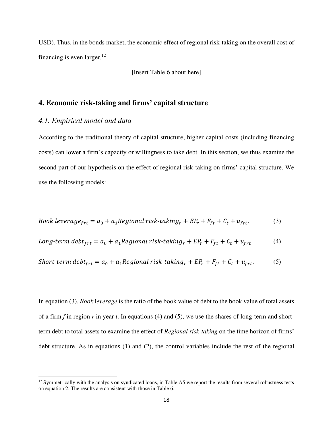USD). Thus, in the bonds market, the economic effect of regional risk-taking on the overall cost of financing is even larger. $12$ 

[Insert Table 6 about here]

# **4. Economic risk-taking and firms' capital structure**

# *4.1. Empirical model and data*

According to the traditional theory of capital structure, higher capital costs (including financing costs) can lower a firm's capacity or willingness to take debt. In this section, we thus examine the second part of our hypothesis on the effect of regional risk-taking on firms' capital structure. We use the following models:

Book leverage<sub>frt</sub> = 
$$
a_0 + a_1
$$
 Regional risk-taking<sub>r</sub> +  $EP_r + F_{ft} + C_t + u_{frt}$ . (3)

Long-term debt<sub>frt</sub> = 
$$
a_0 + a_1
$$
 Regional risk-taking<sub>r</sub> +  $EP_r + F_{ft} + C_t + u_{frt}$ . (4)

$$
Short-term debt_{frt} = a_0 + a_1 Regional risk\text{-}taking_r + EP_r + F_{ft} + C_t + u_{frt}. \tag{5}
$$

In equation (3), *Book* l*everage* is the ratio of the book value of debt to the book value of total assets of a firm *f* in region *r* in year *t*. In equations (4) and (5), we use the shares of long-term and shortterm debt to total assets to examine the effect of *Regional risk-taking* on the time horizon of firms' debt structure. As in equations (1) and (2), the control variables include the rest of the regional

 $12$  Symmetrically with the analysis on syndicated loans, in Table A5 we report the results from several robustness tests on equation 2. The results are consistent with those in Table 6.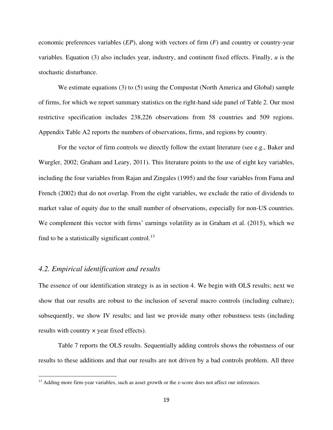economic preferences variables (*EP*), along with vectors of firm (*F*) and country or country-year variables. Equation (3) also includes year, industry, and continent fixed effects. Finally, *u* is the stochastic disturbance.

We estimate equations (3) to (5) using the Compustat (North America and Global) sample of firms, for which we report summary statistics on the right-hand side panel of Table 2. Our most restrictive specification includes 238,226 observations from 58 countries and 509 regions. Appendix Table A2 reports the numbers of observations, firms, and regions by country.

For the vector of firm controls we directly follow the extant literature (see e.g., Baker and Wurgler, 2002; Graham and Leary, 2011). This literature points to the use of eight key variables, including the four variables from Rajan and Zingales (1995) and the four variables from Fama and French (2002) that do not overlap. From the eight variables, we exclude the ratio of dividends to market value of equity due to the small number of observations, especially for non-US countries. We complement this vector with firms' earnings volatility as in Graham et al. (2015), which we find to be a statistically significant control.<sup>13</sup>

# *4.2. Empirical identification and results*

The essence of our identification strategy is as in section 4. We begin with OLS results; next we show that our results are robust to the inclusion of several macro controls (including culture); subsequently, we show IV results; and last we provide many other robustness tests (including results with country × year fixed effects).

Table 7 reports the OLS results. Sequentially adding controls shows the robustness of our results to these additions and that our results are not driven by a bad controls problem. All three

<sup>&</sup>lt;sup>13</sup> Adding more firm-year variables, such as asset growth or the z-score does not affect our inferences.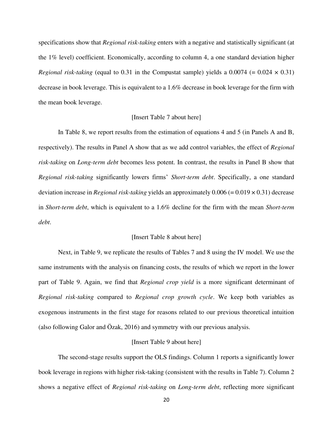specifications show that *Regional risk-taking* enters with a negative and statistically significant (at the 1% level) coefficient. Economically, according to column 4, a one standard deviation higher *Regional risk-taking* (equal to 0.31 in the Compustat sample) yields a 0.0074 (=  $0.024 \times 0.31$ ) decrease in book leverage. This is equivalent to a 1.6% decrease in book leverage for the firm with the mean book leverage.

### [Insert Table 7 about here]

In Table 8, we report results from the estimation of equations 4 and 5 (in Panels A and B, respectively). The results in Panel A show that as we add control variables, the effect of *Regional risk-taking* on *Long-term debt* becomes less potent. In contrast, the results in Panel B show that *Regional risk-taking* significantly lowers firms' *Short-term debt*. Specifically, a one standard deviation increase in *Regional risk-taking* yields an approximately 0.006 (= 0.019 × 0.31) decrease in *Short-term debt*, which is equivalent to a 1.6% decline for the firm with the mean *Short-term debt*.

# [Insert Table 8 about here]

 Next, in Table 9, we replicate the results of Tables 7 and 8 using the IV model. We use the same instruments with the analysis on financing costs, the results of which we report in the lower part of Table 9. Again, we find that *Regional crop yield* is a more significant determinant of *Regional risk-taking* compared to *Regional crop growth cycle*. We keep both variables as exogenous instruments in the first stage for reasons related to our previous theoretical intuition (also following Galor and Özak, 2016) and symmetry with our previous analysis.

## [Insert Table 9 about here]

The second-stage results support the OLS findings. Column 1 reports a significantly lower book leverage in regions with higher risk-taking (consistent with the results in Table 7). Column 2 shows a negative effect of *Regional risk-taking* on *Long-term debt*, reflecting more significant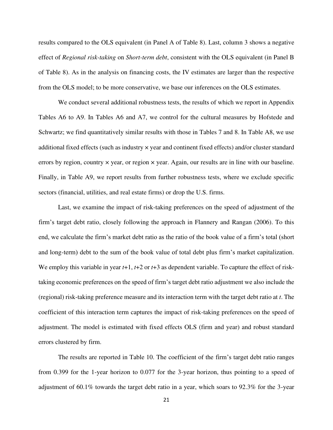results compared to the OLS equivalent (in Panel A of Table 8). Last, column 3 shows a negative effect of *Regional risk-taking* on *Short-term debt*, consistent with the OLS equivalent (in Panel B of Table 8). As in the analysis on financing costs, the IV estimates are larger than the respective from the OLS model; to be more conservative, we base our inferences on the OLS estimates.

 We conduct several additional robustness tests, the results of which we report in Appendix Tables A6 to A9. In Tables A6 and A7, we control for the cultural measures by Hofstede and Schwartz; we find quantitatively similar results with those in Tables 7 and 8. In Table A8, we use additional fixed effects (such as industry × year and continent fixed effects) and/or cluster standard errors by region, country  $\times$  year, or region  $\times$  year. Again, our results are in line with our baseline. Finally, in Table A9, we report results from further robustness tests, where we exclude specific sectors (financial, utilities, and real estate firms) or drop the U.S. firms.

Last, we examine the impact of risk-taking preferences on the speed of adjustment of the firm's target debt ratio, closely following the approach in Flannery and Rangan (2006). To this end, we calculate the firm's market debt ratio as the ratio of the book value of a firm's total (short and long-term) debt to the sum of the book value of total debt plus firm's market capitalization. We employ this variable in year *t*+1, *t*+2 or *t*+3 as dependent variable. To capture the effect of risktaking economic preferences on the speed of firm's target debt ratio adjustment we also include the (regional) risk-taking preference measure and its interaction term with the target debt ratio at *t*. The coefficient of this interaction term captures the impact of risk-taking preferences on the speed of adjustment. The model is estimated with fixed effects OLS (firm and year) and robust standard errors clustered by firm.

The results are reported in Table 10. The coefficient of the firm's target debt ratio ranges from 0.399 for the 1-year horizon to 0.077 for the 3-year horizon, thus pointing to a speed of adjustment of 60.1% towards the target debt ratio in a year, which soars to 92.3% for the 3-year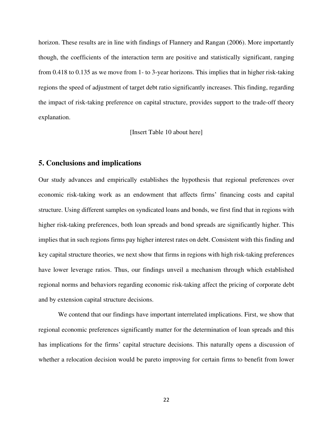horizon. These results are in line with findings of Flannery and Rangan (2006). More importantly though, the coefficients of the interaction term are positive and statistically significant, ranging from 0.418 to 0.135 as we move from 1- to 3-year horizons. This implies that in higher risk-taking regions the speed of adjustment of target debt ratio significantly increases. This finding, regarding the impact of risk-taking preference on capital structure, provides support to the trade-off theory explanation.

[Insert Table 10 about here]

# **5. Conclusions and implications**

Our study advances and empirically establishes the hypothesis that regional preferences over economic risk-taking work as an endowment that affects firms' financing costs and capital structure. Using different samples on syndicated loans and bonds, we first find that in regions with higher risk-taking preferences, both loan spreads and bond spreads are significantly higher. This implies that in such regions firms pay higher interest rates on debt. Consistent with this finding and key capital structure theories, we next show that firms in regions with high risk-taking preferences have lower leverage ratios. Thus, our findings unveil a mechanism through which established regional norms and behaviors regarding economic risk-taking affect the pricing of corporate debt and by extension capital structure decisions.

 We contend that our findings have important interrelated implications. First, we show that regional economic preferences significantly matter for the determination of loan spreads and this has implications for the firms' capital structure decisions. This naturally opens a discussion of whether a relocation decision would be pareto improving for certain firms to benefit from lower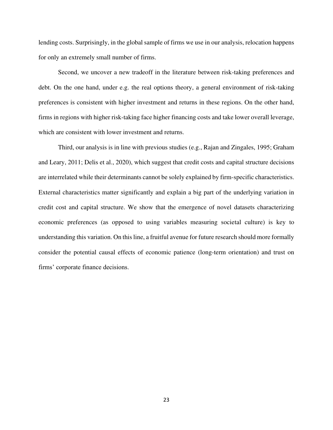lending costs. Surprisingly, in the global sample of firms we use in our analysis, relocation happens for only an extremely small number of firms.

Second, we uncover a new tradeoff in the literature between risk-taking preferences and debt. On the one hand, under e.g. the real options theory, a general environment of risk-taking preferences is consistent with higher investment and returns in these regions. On the other hand, firms in regions with higher risk-taking face higher financing costs and take lower overall leverage, which are consistent with lower investment and returns.

Third, our analysis is in line with previous studies (e.g., Rajan and Zingales, 1995; Graham and Leary, 2011; Delis et al., 2020), which suggest that credit costs and capital structure decisions are interrelated while their determinants cannot be solely explained by firm-specific characteristics. External characteristics matter significantly and explain a big part of the underlying variation in credit cost and capital structure. We show that the emergence of novel datasets characterizing economic preferences (as opposed to using variables measuring societal culture) is key to understanding this variation. On this line, a fruitful avenue for future research should more formally consider the potential causal effects of economic patience (long-term orientation) and trust on firms' corporate finance decisions.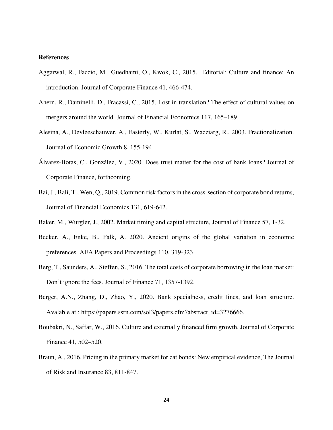### **References**

- Aggarwal, R., Faccio, M., Guedhami, O., Kwok, C., 2015. Editorial: Culture and finance: An introduction. Journal of Corporate Finance 41, 466-474.
- Ahern, R., Daminelli, D., Fracassi, C., 2015. Lost in translation? The effect of cultural values on mergers around the world. Journal of Financial Economics 117, 165–189.
- Alesina, A., Devleeschauwer, A., Easterly, W., Kurlat, S., Wacziarg, R., 2003. Fractionalization. Journal of Economic Growth 8, 155-194.
- Álvarez-Botas, C., González, V., 2020. Does trust matter for the cost of bank loans? Journal of Corporate Finance, forthcoming.
- Bai, J., Bali, T., Wen, Q., 2019. Common risk factors in the cross-section of corporate bond returns, Journal of Financial Economics 131, 619-642.
- Baker, M., Wurgler, J., 2002. Market timing and capital structure, Journal of Finance 57, 1-32.
- Becker, A., Enke, B., Falk, A. 2020. Ancient origins of the global variation in economic preferences. AEA Papers and Proceedings 110, 319-323.
- Berg, T., Saunders, A., Steffen, S., 2016. The total costs of corporate borrowing in the loan market: Don't ignore the fees. Journal of Finance 71, 1357-1392.
- Berger, A.N., Zhang, D., Zhao, Y., 2020. Bank specialness, credit lines, and loan structure. Avalable at : [https://papers.ssrn.com/sol3/papers.cfm?abstract\\_id=3276666.](https://papers.ssrn.com/sol3/papers.cfm?abstract_id=3276666)
- Boubakri, N., Saffar, W., 2016. Culture and externally financed firm growth. Journal of Corporate Finance 41, 502–520.
- Braun, A., 2016. Pricing in the primary market for cat bonds: New empirical evidence, The Journal of Risk and Insurance 83, 811-847.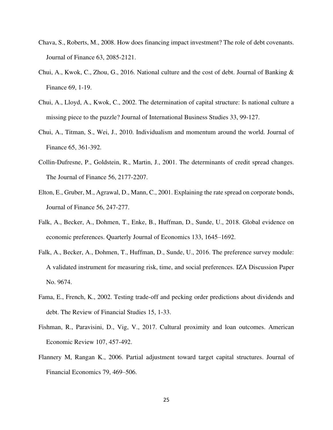- Chava, S., Roberts, M., 2008. How does financing impact investment? The role of debt covenants. Journal of Finance 63, 2085-2121.
- Chui, A., Kwok, C., Zhou, G., 2016. National culture and the cost of debt. Journal of Banking & Finance 69, 1-19.
- Chui, A., Lloyd, A., Kwok, C., 2002. The determination of capital structure: Is national culture a missing piece to the puzzle? Journal of International Business Studies 33, 99-127.
- Chui, A., Titman, S., Wei, J., 2010. Individualism and momentum around the world. Journal of Finance 65, 361-392.
- Collin-Dufresne, P., Goldstein, R., Martin, J., 2001. The determinants of credit spread changes. The Journal of Finance 56, 2177-2207.
- Elton, E., Gruber, M., Agrawal, D., Mann, C., 2001. Explaining the rate spread on corporate bonds, Journal of Finance 56, 247-277.
- Falk, A., Becker, A., Dohmen, T., Enke, B., Huffman, D., Sunde, U., 2018. Global evidence on economic preferences. Quarterly Journal of Economics 133, 1645–1692.
- Falk, A., Becker, A., Dohmen, T., Huffman, D., Sunde, U., 2016. The preference survey module: A validated instrument for measuring risk, time, and social preferences. IZA Discussion Paper No. 9674.
- Fama, E., French, K., 2002. Testing trade-off and pecking order predictions about dividends and debt. The Review of Financial Studies 15, 1-33.
- Fishman, R., Paravisini, D., Vig, V., 2017. Cultural proximity and loan outcomes. American Economic Review 107, 457-492.
- Flannery M, Rangan K., 2006. Partial adjustment toward target capital structures. Journal of Financial Economics 79, 469–506.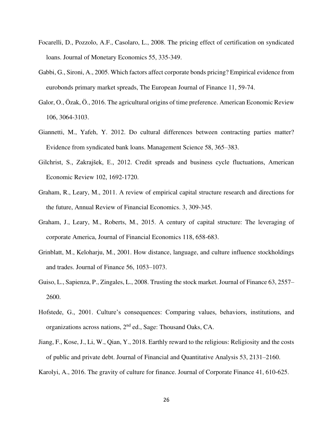- Focarelli, D., Pozzolo, A.F., Casolaro, L., 2008. The pricing effect of certification on syndicated loans. Journal of Monetary Economics 55, 335-349.
- Gabbi, G., Sironi, A., 2005. Which factors affect corporate bonds pricing? Empirical evidence from eurobonds primary market spreads, The European Journal of Finance 11, 59-74.
- Galor, O., Özak, Ö., 2016. The agricultural origins of time preference. American Economic Review 106, 3064-3103.
- Giannetti, M., Yafeh, Y. 2012. Do cultural differences between contracting parties matter? Evidence from syndicated bank loans. Management Science 58, 365–383.
- Gilchrist, S., Zakrajšek, E., 2012. Credit spreads and business cycle fluctuations, American Economic Review 102, 1692-1720.
- Graham, R., Leary, M., 2011. A review of empirical capital structure research and directions for the future, Annual Review of Financial Economics. 3, 309-345.
- Graham, J., Leary, M., Roberts, M., 2015. A century of capital structure: The leveraging of corporate America, Journal of Financial Economics 118, 658-683.
- Grinblatt, M., Keloharju, M., 2001. How distance, language, and culture influence stockholdings and trades. Journal of Finance 56, 1053–1073.
- Guiso, L., Sapienza, P., Zingales, L., 2008. Trusting the stock market. Journal of Finance 63, 2557– 2600.
- Hofstede, G., 2001. Culture's consequences: Comparing values, behaviors, institutions, and organizations across nations, 2nd ed., Sage: Thousand Oaks, CA.
- Jiang, F., Kose, J., Li, W., Qian, Y., 2018. Earthly reward to the religious: Religiosity and the costs of public and private debt. Journal of Financial and Quantitative Analysis 53, 2131–2160.
- Karolyi, A., 2016. The gravity of culture for finance. Journal of Corporate Finance 41, 610-625.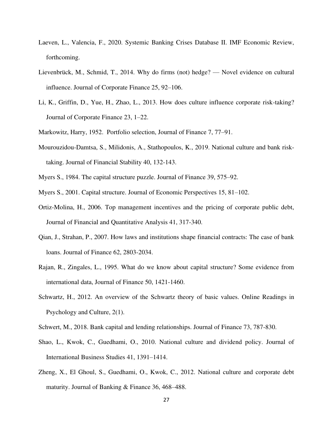- Laeven, L., Valencia, F., 2020. Systemic Banking Crises Database II. IMF Economic Review, forthcoming.
- Lievenbrück, M., Schmid, T., 2014. Why do firms (not) hedge? Novel evidence on cultural influence. Journal of Corporate Finance 25, 92–106.
- Li, K., Griffin, D., Yue, H., Zhao, L., 2013. How does culture influence corporate risk-taking? Journal of Corporate Finance 23, 1–22.
- Markowitz, Harry, 1952. Portfolio selection, Journal of Finance 7, 77–91.
- Mourouzidou-Damtsa, S., Milidonis, A., Stathopoulos, K., 2019. National culture and bank risktaking. Journal of Financial Stability 40, 132-143.
- Myers S., 1984. The capital structure puzzle. Journal of Finance 39, 575–92.
- Myers S., 2001. Capital structure. Journal of Economic Perspectives 15, 81–102.
- Ortiz-Molina, H., 2006. Top management incentives and the pricing of corporate public debt, Journal of Financial and Quantitative Analysis 41, 317-340.
- Qian, J., Strahan, P., 2007. How laws and institutions shape financial contracts: The case of bank loans. Journal of Finance 62, 2803-2034.
- Rajan, R., Zingales, L., 1995. What do we know about capital structure? Some evidence from international data, Journal of Finance 50, 1421-1460.
- Schwartz, H., 2012. An overview of the Schwartz theory of basic values. Online Readings in Psychology and Culture, 2(1).
- Schwert, M., 2018. Bank capital and lending relationships. Journal of Finance 73, 787-830.
- Shao, L., Kwok, C., Guedhami, O., 2010. National culture and dividend policy. Journal of International Business Studies 41, 1391–1414.
- Zheng, X., El Ghoul, S., Guedhami, O., Kwok, C., 2012. National culture and corporate debt maturity. Journal of Banking & Finance 36, 468–488.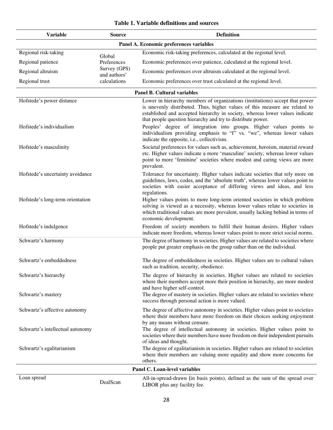| Table 1. Variable definitions and sources |  |  |
|-------------------------------------------|--|--|
|-------------------------------------------|--|--|

| <b>Variable</b>                                       | <b>Source</b>                | <b>Definition</b>                                                                                                                                                                                                                                                                                                                                                                                                                                                                                         |
|-------------------------------------------------------|------------------------------|-----------------------------------------------------------------------------------------------------------------------------------------------------------------------------------------------------------------------------------------------------------------------------------------------------------------------------------------------------------------------------------------------------------------------------------------------------------------------------------------------------------|
|                                                       |                              | Panel A. Economic preferences variables                                                                                                                                                                                                                                                                                                                                                                                                                                                                   |
| Regional risk-taking                                  | Global                       | Economic risk-taking preferences, calculated at the regional level.                                                                                                                                                                                                                                                                                                                                                                                                                                       |
| Regional patience                                     | Preferences                  | Economic preferences over patience, calculated at the regional level.                                                                                                                                                                                                                                                                                                                                                                                                                                     |
| Regional altruism                                     | Survey (GPS)<br>and authors' | Economic preferences over altruism calculated at the regional level.                                                                                                                                                                                                                                                                                                                                                                                                                                      |
| Regional trust                                        | calculations                 | Economic preferences over trust calculated at the regional level.                                                                                                                                                                                                                                                                                                                                                                                                                                         |
|                                                       |                              | <b>Panel B. Cultural variables</b>                                                                                                                                                                                                                                                                                                                                                                                                                                                                        |
| Hofstede's power distance<br>Hofstede's individualism |                              | Lower in hierarchy members of organizations (institutions) accept that power<br>is unevenly distributed. Thus, higher values of this measure are related to<br>established and accepted hierarchy in society, whereas lower values indicate<br>that people question hierarchy and try to distribute power.<br>Peoples' degree of integration into groups. Higher values points to<br>individualism providing emphasis to "I" vs. "we", whereas lower values<br>indicate the opposite, i.e., collectivism. |
| Hofstede's masculinity                                |                              | Societal preferences for values such as, achievement, heroism, material reward<br>etc. Higher values indicate a more 'masculine' society, whereas lower values<br>point to more 'feminine' societies where modest and caring views are more<br>prevalent.                                                                                                                                                                                                                                                 |
| Hofstede's uncertainty avoidance                      |                              | Tolerance for uncertainty. Higher values indicate societies that rely more on<br>guidelines, laws, codes, and the 'absolute truth', whereas lower values point to<br>societies with easier acceptance of differing views and ideas, and less<br>regulations.                                                                                                                                                                                                                                              |
| Hofstede's long-term orientation                      |                              | Higher values points to more long-term oriented societies in which problem<br>solving is viewed as a necessity, whereas lower values relate to societies in<br>which traditional values are more prevalent, usually lacking behind in terms of<br>economic development.                                                                                                                                                                                                                                   |
| Hofstede's indulgence                                 |                              | Freedom of society members to fulfil their human desires. Higher values<br>indicate more freedom, whereas lower values point to more strict social norms.                                                                                                                                                                                                                                                                                                                                                 |
| Schwartz's harmony                                    |                              | The degree of harmony in societies. Higher values are related to societies where<br>people put greater emphasis on the group rather than on the individual.                                                                                                                                                                                                                                                                                                                                               |
| Schwartz's embeddedness                               |                              | The degree of embeddedness in societies. Higher values are to cultural values<br>such as tradition, security, obedience.                                                                                                                                                                                                                                                                                                                                                                                  |
| Schwartz's hierarchy                                  |                              | The degree of hierarchy in societies. Higher values are related to societies<br>where their members accept more their position in hierarchy, are more modest<br>and have higher self-control.                                                                                                                                                                                                                                                                                                             |
| Schwartz's mastery                                    |                              | The degree of mastery in societies. Higher values are related to societies where<br>success through personal action is more valued.                                                                                                                                                                                                                                                                                                                                                                       |
| Schwartz's affective autonomy                         |                              | The degree of affective autonomy in societies. Higher values point to societies<br>where their members have more freedom on their choices seeking enjoyment<br>by any means without censure.                                                                                                                                                                                                                                                                                                              |
| Schwartz's intellectual autonomy                      |                              | The degree of intellectual autonomy in societies. Higher values point to<br>societies where their members have more freedom on their independent pursuits<br>of ideas and thought.                                                                                                                                                                                                                                                                                                                        |
| Schwartz's egalitarianism                             |                              | The degree of egalitarianism in societies. Higher values are related to societies<br>where their members are valuing more equality and show more concerns for<br>others.                                                                                                                                                                                                                                                                                                                                  |
|                                                       |                              | Panel C. Loan-level variables                                                                                                                                                                                                                                                                                                                                                                                                                                                                             |
| Loan spread                                           | DealScan                     | All-in-spread-drawn (in basis points), defined as the sum of the spread over<br>LIBOR plus any facility fee.                                                                                                                                                                                                                                                                                                                                                                                              |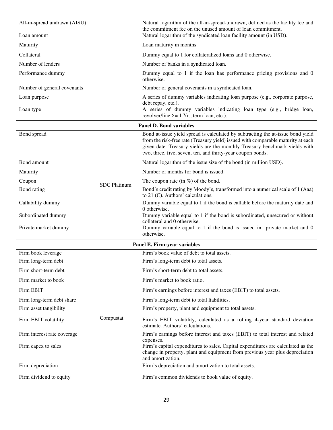| All-in-spread undrawn (AISU)<br>Loan amount |                     | Natural logarithm of the all-in-spread-undrawn, defined as the facility fee and<br>the commitment fee on the unused amount of loan commitment.<br>Natural logarithm of the syndicated loan facility amount (in USD).                                                                                             |  |  |  |  |
|---------------------------------------------|---------------------|------------------------------------------------------------------------------------------------------------------------------------------------------------------------------------------------------------------------------------------------------------------------------------------------------------------|--|--|--|--|
| Maturity                                    |                     | Loan maturity in months.                                                                                                                                                                                                                                                                                         |  |  |  |  |
| Collateral                                  |                     | Dummy equal to 1 for collateralized loans and 0 otherwise.                                                                                                                                                                                                                                                       |  |  |  |  |
| Number of lenders                           |                     | Number of banks in a syndicated loan.                                                                                                                                                                                                                                                                            |  |  |  |  |
| Performance dummy                           |                     | Dummy equal to 1 if the loan has performance pricing provisions and 0                                                                                                                                                                                                                                            |  |  |  |  |
|                                             |                     | otherwise.                                                                                                                                                                                                                                                                                                       |  |  |  |  |
| Number of general covenants                 |                     | Number of general covenants in a syndicated loan.                                                                                                                                                                                                                                                                |  |  |  |  |
| Loan purpose<br>Loan type                   |                     | A series of dummy variables indicating loan purpose (e.g., corporate purpose,<br>debt repay, etc.).<br>A series of dummy variables indicating loan type (e.g., bridge loan,                                                                                                                                      |  |  |  |  |
|                                             |                     | revolver/line $>= 1$ Yr., term loan, etc.).                                                                                                                                                                                                                                                                      |  |  |  |  |
|                                             |                     | <b>Panel D. Bond variables</b>                                                                                                                                                                                                                                                                                   |  |  |  |  |
| Bond spread                                 |                     | Bond at-issue yield spread is calculated by subtracting the at-issue bond yield<br>from the risk-free rate (Treasury yield) issued with comparable maturity at each<br>given date. Treasury yields are the monthly Treasury benchmark yields with<br>two, three, five, seven, ten, and thirty-year coupon bonds. |  |  |  |  |
| Bond amount                                 |                     | Natural logarithm of the issue size of the bond (in million USD).                                                                                                                                                                                                                                                |  |  |  |  |
| Maturity                                    |                     | Number of months for bond is issued.                                                                                                                                                                                                                                                                             |  |  |  |  |
| Coupon                                      | <b>SDC</b> Platinum | The coupon rate (in $\%$ ) of the bond.                                                                                                                                                                                                                                                                          |  |  |  |  |
| Bond rating                                 |                     | Bond's credit rating by Moody's, transformed into a numerical scale of 1 (Aaa)<br>to 21 (C). Authors' calculations.                                                                                                                                                                                              |  |  |  |  |
| Callability dummy                           |                     | Dummy variable equal to 1 if the bond is callable before the maturity date and<br>0 otherwise.                                                                                                                                                                                                                   |  |  |  |  |
| Subordinated dummy                          |                     | Dummy variable equal to 1 if the bond is subordinated, unsecured or without<br>collateral and 0 otherwise.                                                                                                                                                                                                       |  |  |  |  |
| Private market dummy                        |                     | Dummy variable equal to 1 if the bond is issued in private market and 0<br>otherwise.                                                                                                                                                                                                                            |  |  |  |  |
|                                             |                     | Panel E. Firm-year variables                                                                                                                                                                                                                                                                                     |  |  |  |  |
| Firm book leverage                          |                     | Firm's book value of debt to total assets.                                                                                                                                                                                                                                                                       |  |  |  |  |
| Firm long-term debt                         |                     | Firm's long-term debt to total assets.                                                                                                                                                                                                                                                                           |  |  |  |  |
| Firm short-term debt                        |                     | Firm's short-term debt to total assets.                                                                                                                                                                                                                                                                          |  |  |  |  |
| Firm market to book                         |                     | Firm's market to book ratio.                                                                                                                                                                                                                                                                                     |  |  |  |  |
| Firm EBIT                                   |                     | Firm's earnings before interest and taxes (EBIT) to total assets.                                                                                                                                                                                                                                                |  |  |  |  |
| Firm long-term debt share                   |                     | Firm's long-term debt to total liabilities.                                                                                                                                                                                                                                                                      |  |  |  |  |
| Firm asset tangibility                      |                     | Firm's property, plant and equipment to total assets.                                                                                                                                                                                                                                                            |  |  |  |  |
| Firm EBIT volatility                        | Compustat           | Firm's EBIT volatility, calculated as a rolling 4-year standard deviation<br>estimate. Authors' calculations.                                                                                                                                                                                                    |  |  |  |  |
| Firm interest rate coverage                 |                     | Firm's earnings before interest and taxes (EBIT) to total interest and related<br>expenses.                                                                                                                                                                                                                      |  |  |  |  |
| Firm capex to sales                         |                     | Firm's capital expenditures to sales. Capital expenditures are calculated as the<br>change in property, plant and equipment from previous year plus depreciation<br>and amortization.                                                                                                                            |  |  |  |  |
| Firm depreciation                           |                     | Firm's depreciation and amortization to total assets.                                                                                                                                                                                                                                                            |  |  |  |  |
| Firm dividend to equity                     |                     | Firm's common dividends to book value of equity.                                                                                                                                                                                                                                                                 |  |  |  |  |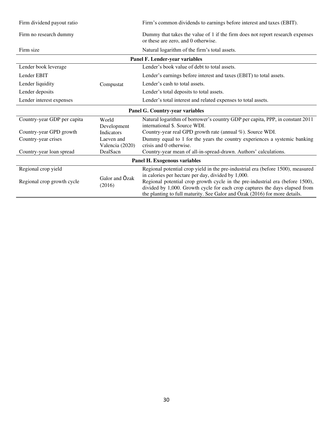| Firm dividend payout ratio      |                               | Firm's common dividends to earnings before interest and taxes (EBIT).                                                                                                                                                                                                                            |  |  |  |
|---------------------------------|-------------------------------|--------------------------------------------------------------------------------------------------------------------------------------------------------------------------------------------------------------------------------------------------------------------------------------------------|--|--|--|
| Firm no research dummy          |                               | Dummy that takes the value of 1 if the firm does not report research expenses<br>or these are zero, and 0 otherwise.                                                                                                                                                                             |  |  |  |
| Firm size                       |                               | Natural logarithm of the firm's total assets.                                                                                                                                                                                                                                                    |  |  |  |
|                                 |                               | Panel F. Lender-year variables                                                                                                                                                                                                                                                                   |  |  |  |
| Lender book leverage            |                               | Lender's book value of debt to total assets.                                                                                                                                                                                                                                                     |  |  |  |
| Lender EBIT                     |                               | Lender's earnings before interest and taxes (EBIT) to total assets.                                                                                                                                                                                                                              |  |  |  |
| Lender liquidity                | Compustat                     | Lender's cash to total assets.                                                                                                                                                                                                                                                                   |  |  |  |
| Lender deposits                 |                               | Lender's total deposits to total assets.                                                                                                                                                                                                                                                         |  |  |  |
| Lender interest expenses        |                               | Lender's total interest and related expenses to total assets.                                                                                                                                                                                                                                    |  |  |  |
| Panel G. Country-year variables |                               |                                                                                                                                                                                                                                                                                                  |  |  |  |
| Country-year GDP per capita     | World                         | Natural logarithm of borrower's country GDP per capita, PPP, in constant 2011                                                                                                                                                                                                                    |  |  |  |
|                                 | Development                   | international \$. Source WDI.                                                                                                                                                                                                                                                                    |  |  |  |
| Country-year GPD growth         | Indicators                    | Country-year real GPD growth rate (annual %). Source WDI.                                                                                                                                                                                                                                        |  |  |  |
| Country-year crises             | Laeven and<br>Valencia (2020) | Dummy equal to 1 for the years the country experiences a systemic banking<br>crisis and 0 otherwise.                                                                                                                                                                                             |  |  |  |
| Country-year loan spread        | DealSacn                      | Country-year mean of all-in-spread-drawn. Authors' calculations.                                                                                                                                                                                                                                 |  |  |  |
|                                 |                               | Panel H. Exogenous variables                                                                                                                                                                                                                                                                     |  |  |  |
| Regional crop yield             |                               | Regional potential crop yield in the pre-industrial era (before 1500), measured                                                                                                                                                                                                                  |  |  |  |
| Regional crop growth cycle      | Galor and Özak<br>(2016)      | in calories per hectare per day, divided by 1,000.<br>Regional potential crop growth cycle in the pre-industrial era (before 1500),<br>divided by 1,000. Growth cycle for each crop captures the days elapsed from<br>the planting to full maturity. See Galor and Özak (2016) for more details. |  |  |  |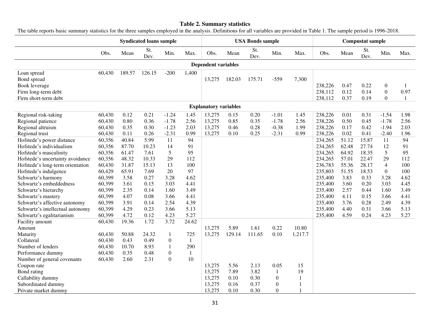#### **Table 2. Summary statistics**

The table reports basic summary statistics for the three samples employed in the analysis. Definitions for all variables are provided in Table 1. The sample period is 1996-2018.

|                                  |        |        | <b>Syndicated loans sample</b> |                  |              |                              | <b>USA Bonds sample</b> |             |                | <b>Compustat sample</b> |         |       |             |                  |      |
|----------------------------------|--------|--------|--------------------------------|------------------|--------------|------------------------------|-------------------------|-------------|----------------|-------------------------|---------|-------|-------------|------------------|------|
|                                  | Obs.   | Mean   | St.<br>Dev.                    | Min.             | Max.         | Obs.                         | Mean                    | St.<br>Dev. | Min.           | Max.                    | Obs.    | Mean  | St.<br>Dev. | Min.             | Max. |
|                                  |        |        |                                |                  |              | <b>Dependent variables</b>   |                         |             |                |                         |         |       |             |                  |      |
| Loan spread                      | 60,430 | 189.57 | 126.15                         | $-200$           | 1,400        |                              |                         |             |                |                         |         |       |             |                  |      |
| Bond spread                      |        |        |                                |                  |              | 13,275                       | 182.03                  | 175.71      | $-559$         | 7,300                   |         |       |             |                  |      |
| Book leverage                    |        |        |                                |                  |              |                              |                         |             |                |                         | 238,226 | 0.47  | 0.22        | $\boldsymbol{0}$ | 1    |
| Firm long-term debt              |        |        |                                |                  |              |                              |                         |             |                |                         | 238,112 | 0.12  | 0.14        | $\mathbf{0}$     | 0.97 |
| Firm short-term debt             |        |        |                                |                  |              |                              |                         |             |                |                         | 238,112 | 0.37  | 0.19        | $\overline{0}$   |      |
|                                  |        |        |                                |                  |              | <b>Explanatory variables</b> |                         |             |                |                         |         |       |             |                  |      |
| Regional risk-taking             | 60,430 | 0.12   | 0.21                           | $-1.24$          | 1.45         | 13,275                       | 0.15                    | 0.20        | $-1.01$        | 1.45                    | 238,226 | 0.01  | 0.31        | $-1.54$          | 1.98 |
| Regional patience                | 60,430 | 0.80   | 0.36                           | $-1.78$          | 2.56         | 13,275                       | 0.85                    | 0.35        | $-1.78$        | 2.56                    | 238,226 | 0.50  | 0.45        | $-1.78$          | 2.56 |
| Regional altruism                | 60,430 | 0.35   | 0.30                           | $-1.23$          | 2.03         | 13,275                       | 0.46                    | 0.28        | $-0.38$        | 1.99                    | 238,226 | 0.17  | 0.42        | $-1.94$          | 2.03 |
| Regional trust                   | 60,430 | 0.11   | 0.26                           | $-2.31$          | 0.99         | 13,275                       | 0.10                    | 0.25        | $-2.31$        | 0.99                    | 238,226 | 0.02  | 0.41        | $-2.40$          | 1.96 |
| Hofstede's power distance        | 60,356 | 40.84  | 5.99                           | 11               | 94           |                              |                         |             |                |                         | 234,265 | 51.12 | 15.87       | 11               | 94   |
| Hofstede's individualism         | 60,356 | 87.70  | 10.23                          | 14               | 91           |                              |                         |             |                |                         | 234,265 | 62.48 | 27.74       | 12               | 91   |
| Hofstede's masculinity           | 60,356 | 61.47  | 7.61                           | 5                | 95           |                              |                         |             |                |                         | 234,265 | 64.92 | 18.35       | 5                | 95   |
| Hofstede's uncertainty avoidance | 60,356 | 48.32  | 10.33                          | 29               | 112          |                              |                         |             |                |                         | 234,265 | 57.01 | 22.47       | 29               | 112  |
| Hofstede's long-term orientation | 60,430 | 31.87  | 15.13                          | 13               | 100          |                              |                         |             |                |                         | 236,783 | 55.36 | 28.17       | $\overline{4}$   | 100  |
| Hofstede's indulgence            | 60,429 | 65.91  | 7.69                           | 20               | 97           |                              |                         |             |                |                         | 235,803 | 51.55 | 18.53       | $\Omega$         | 100  |
| Schwartz's harmony               | 60,399 | 3.58   | 0.27                           | 3.28             | 4.62         |                              |                         |             |                |                         | 235,400 | 3.83  | 0.33        | 3.28             | 4.62 |
| Schwartz's embeddedness          | 60,399 | 3.61   | 0.15                           | 3.03             | 4.41         |                              |                         |             |                |                         | 235,400 | 3.60  | 0.20        | 3.03             | 4.45 |
| Schwartz's hierarchy             | 60,399 | 2.35   | 0.14                           | 1.60             | 3.49         |                              |                         |             |                |                         | 235,400 | 2.57  | 0.44        | 1.60             | 3.49 |
| Schwartz's mastery               | 60,399 | 4.07   | 0.08                           | 3.66             | 4.41         |                              |                         |             |                |                         | 235,400 | 4.11  | 0.15        | 3.66             | 4.41 |
| Schwartz's affective autonomy    | 60,399 | 3.91   | 0.14                           | 2.54             | 4.39         |                              |                         |             |                |                         | 235,400 | 3.76  | 0.28        | 2.49             | 4.39 |
| Schwartz's intellectual autonomy | 60,399 | 4.29   | 0.23                           | 3.66             | 5.13         |                              |                         |             |                |                         | 235,400 | 4.40  | 0.31        | 3.66             | 5.13 |
| Schwartz's egalitarianism        | 60,399 | 4.72   | 0.12                           | 4.23             | 5.27         |                              |                         |             |                |                         | 235,400 | 4.59  | 0.24        | 4.23             | 5.27 |
| Facility amount                  | 60,430 | 19.36  | 1.72                           | 3.72             | 24.62        |                              |                         |             |                |                         |         |       |             |                  |      |
| Amount                           |        |        |                                |                  |              | 13,275                       | 5.89                    | 1.61        | 0.22           | 10.80                   |         |       |             |                  |      |
| Maturity                         | 60,430 | 50.88  | 24.32                          | 1                | 725          | 13,275                       | 129.14                  | 111.65      | 0.10           | 1,217.7                 |         |       |             |                  |      |
| Collateral                       | 60,430 | 0.43   | 0.49                           | $\boldsymbol{0}$ | $\mathbf{1}$ |                              |                         |             |                |                         |         |       |             |                  |      |
| Number of lenders                | 60,430 | 10.70  | 8.93                           |                  | 290          |                              |                         |             |                |                         |         |       |             |                  |      |
| Performance dummy                | 60,430 | 0.35   | 0.48                           | $\mathbf{0}$     | $\mathbf{1}$ |                              |                         |             |                |                         |         |       |             |                  |      |
| Number of general covenants      | 60,430 | 2.60   | 2.31                           | $\Omega$         | 10           |                              |                         |             |                |                         |         |       |             |                  |      |
| Coupon rate                      |        |        |                                |                  |              | 13,275                       | 5.56                    | 2.13        | 0.05           | 15                      |         |       |             |                  |      |
| Bond rating                      |        |        |                                |                  |              | 13,275                       | 7.89                    | 3.82        | 1              | 19                      |         |       |             |                  |      |
| Callability dummy                |        |        |                                |                  |              | 13,275                       | 0.10                    | 0.30        | $\overline{0}$ | 1                       |         |       |             |                  |      |
| Subordinated dummy               |        |        |                                |                  |              | 13,275                       | 0.16                    | 0.37        | $\Omega$       | $\mathbf{1}$            |         |       |             |                  |      |
| Private market dummy             |        |        |                                |                  |              | 13,275                       | 0.10                    | 0.30        | $\Omega$       | 1                       |         |       |             |                  |      |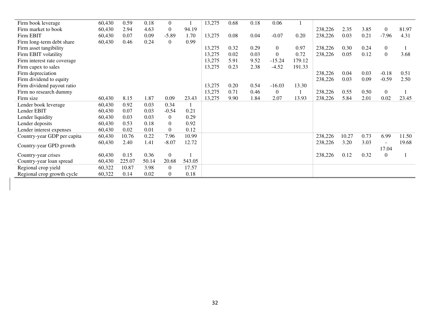| Firm book leverage          | 60,430 | 0.59   | 0.18  | $\Omega$       |        | 13,275 | 0.68 | 0.18 | 0.06           |        |         |       |      |                          |       |
|-----------------------------|--------|--------|-------|----------------|--------|--------|------|------|----------------|--------|---------|-------|------|--------------------------|-------|
| Firm market to book         | 60,430 | 2.94   | 4.63  | $\Omega$       | 94.19  |        |      |      |                |        | 238,226 | 2.35  | 3.85 | $\theta$                 | 81.97 |
| Firm EBIT                   | 60,430 | 0.07   | 0.09  | $-5.89$        | 1.70   | 13,275 | 0.08 | 0.04 | $-0.07$        | 0.20   | 238,226 | 0.03  | 0.21 | $-7.96$                  | 4.31  |
| Firm long-term debt share   | 60,430 | 0.46   | 0.24  | $\Omega$       | 0.99   |        |      |      |                |        |         |       |      |                          |       |
| Firm asset tangibility      |        |        |       |                |        | 13,275 | 0.32 | 0.29 | $\overline{0}$ | 0.97   | 238,226 | 0.30  | 0.24 | $\overline{0}$           |       |
| Firm EBIT volatility        |        |        |       |                |        | 13,275 | 0.02 | 0.03 | $\Omega$       | 0.72   | 238,226 | 0.05  | 0.12 | $\Omega$                 | 3.68  |
| Firm interest rate coverage |        |        |       |                |        | 13,275 | 5.91 | 9.52 | $-15.24$       | 179.12 |         |       |      |                          |       |
| Firm capex to sales         |        |        |       |                |        | 13,275 | 0.23 | 2.38 | $-4.52$        | 191.33 |         |       |      |                          |       |
| Firm depreciation           |        |        |       |                |        |        |      |      |                |        | 238,226 | 0.04  | 0.03 | $-0.18$                  | 0.51  |
| Firm dividend to equity     |        |        |       |                |        |        |      |      |                |        | 238,226 | 0.03  | 0.09 | $-0.59$                  | 2.50  |
| Firm dividend payout ratio  |        |        |       |                |        | 13,275 | 0.20 | 0.54 | $-16.03$       | 13.30  |         |       |      |                          |       |
| Firm no research dummy      |        |        |       |                |        | 13,275 | 0.71 | 0.46 | $\overline{0}$ |        | 238,226 | 0.55  | 0.50 | $\overline{0}$           |       |
| Firm size                   | 60,430 | 8.15   | 1.87  | 0.09           | 23.43  | 13,275 | 9.90 | 1.84 | 2.07           | 13.93  | 238,226 | 5.84  | 2.01 | 0.02                     | 23.45 |
| Lender book leverage        | 60,430 | 0.92   | 0.03  | 0.34           |        |        |      |      |                |        |         |       |      |                          |       |
| Lender EBIT                 | 60,430 | 0.07   | 0.03  | $-0.54$        | 0.21   |        |      |      |                |        |         |       |      |                          |       |
| Lender liquidity            | 60,430 | 0.03   | 0.03  | $\theta$       | 0.29   |        |      |      |                |        |         |       |      |                          |       |
| Lender deposits             | 60,430 | 0.53   | 0.18  | $\Omega$       | 0.92   |        |      |      |                |        |         |       |      |                          |       |
| Lender interest expenses    | 60,430 | 0.02   | 0.01  | $\Omega$       | 0.12   |        |      |      |                |        |         |       |      |                          |       |
| Country-year GDP per capita | 60,430 | 10.76  | 0.22  | 7.96           | 10.99  |        |      |      |                |        | 238,226 | 10.27 | 0.73 | 6.99                     | 11.50 |
| Country-year GPD growth     | 60,430 | 2.40   | 1.41  | $-8.07$        | 12.72  |        |      |      |                |        | 238,226 | 3.20  | 3.03 | $\overline{\phantom{a}}$ | 19.68 |
|                             |        |        |       |                |        |        |      |      |                |        |         |       |      | 17.04                    |       |
| Country-year crises         | 60,430 | 0.15   | 0.36  | $\overline{0}$ |        |        |      |      |                |        | 238,226 | 0.12  | 0.32 | $\overline{0}$           |       |
| Country-year loan spread    | 60,430 | 225.07 | 50.14 | 20.68          | 543.05 |        |      |      |                |        |         |       |      |                          |       |
| Regional crop yield         | 60,322 | 10.87  | 3.98  | $\Omega$       | 17.57  |        |      |      |                |        |         |       |      |                          |       |
| Regional crop growth cycle  | 60,322 | 0.14   | 0.02  | $\theta$       | 0.18   |        |      |      |                |        |         |       |      |                          |       |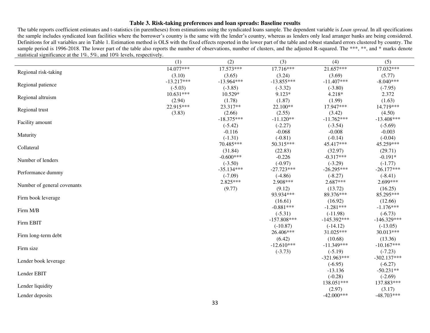### **Table 3. Risk-taking preferences and loan spreads: Baseline results**

The table reports coefficient estimates and t-statistics (in parentheses) from estimations using the syndicated loans sample. The dependent variable is *Loan spread*. In all specifications the sample includes syndicated loan facilities where the borrower's country is the same with the lender's country, whereas as lenders only lead arranger banks are being considered. Definitions for all variables are in Table 1. Estimation method is OLS with the fixed effects reported in the lower part of the table and robust standard errors clustered by country. The sample period is 1996-2018. The lower part of the table also reports the number of observations, number of clusters, and the adjusted R-squared. The \*\*\*, \*\*, and \* marks denote statistical significance at the 1%, 5%, and 10% levels, respectively.

|                             | (1)          | (2)          | (3)                        | (4)                         | (5)                        |
|-----------------------------|--------------|--------------|----------------------------|-----------------------------|----------------------------|
| Regional risk-taking        | 14.077***    | 17.573***    | 17.716***                  | 21.657***                   | 17.032***                  |
|                             | (3.10)       | (3.65)       | (3.24)                     | (3.69)                      | (5.77)                     |
| Regional patience           | $-13.217***$ | $-13.964***$ | $-13.855***$               | $-11.407***$                | $-8.040***$                |
|                             | $(-5.03)$    | $(-3.85)$    | $(-3.32)$                  | $(-3.80)$                   | $(-7.95)$                  |
| Regional altruism           | $10.631***$  | 10.529*      | 9.123*                     | 4.218*                      | 2.372                      |
|                             | (2.94)       | (1.78)       | (1.87)                     | (1.99)                      | (1.63)                     |
| Regional trust              | 22.915***    | 23.317**     | 22.100**                   | 17.947***                   | 14.719***                  |
|                             | (3.83)       | (2.66)       | (2.55)                     | (3.42)                      | (4.50)                     |
| Facility amount             |              | $-18.375***$ | $-11.120**$                | $-11.762***$                | $-13.408***$               |
|                             |              | $(-5.42)$    | $(-2.27)$                  | $(-3.54)$                   | $(-5.69)$                  |
| Maturity                    |              | $-0.116$     | $-0.068$                   | $-0.008$                    | $-0.003$                   |
|                             |              | $(-1.31)$    | $(-0.81)$                  | $(-0.14)$                   | $(-0.04)$                  |
| Collateral                  |              | 70.485***    | 50.315***                  | 45.417***                   | 45.259***                  |
|                             |              | (31.84)      | (22.83)                    | (32.97)                     | (29.71)                    |
| Number of lenders           |              | $-0.600***$  | $-0.226$                   | $-0.317***$                 | $-0.191*$                  |
|                             |              | $(-3.50)$    | $(-0.97)$                  | $(-3.29)$                   | $(-1.77)$                  |
| Performance dummy           |              | $-35.134***$ | $-27.723***$               | $-26.295***$                | $-26.177***$               |
|                             |              | $(-7.09)$    | $(-4.86)$                  | $(-8.27)$                   | $(-8.41)$                  |
| Number of general covenants |              | $2.825***$   | 2.908***                   | $2.687***$                  | 2.699***                   |
|                             |              | (9.77)       | (9.12)<br>93.934***        | (13.72)<br>89.376***        | (16.25)<br>85.295***       |
| Firm book leverage          |              |              |                            |                             |                            |
|                             |              |              | (16.61)                    | (16.92)                     | (12.66)                    |
| Firm M/B                    |              |              | $-0.881***$                | $-1.281***$                 | $-1.176***$                |
|                             |              |              | $(-5.31)$<br>$-157.808***$ | $(-11.98)$<br>$-145.392***$ | $(-6.73)$<br>$-146.329***$ |
| Firm EBIT                   |              |              | $(-10.87)$                 | $(-14.12)$                  | $(-13.05)$                 |
|                             |              |              | 26.406***                  | 31.025***                   | 30.013***                  |
| Firm long-term debt         |              |              | (6.42)                     | (10.68)                     | (13.36)                    |
|                             |              |              | $-12.610***$               | $-11.349***$                | $-10.167***$               |
| Firm size                   |              |              | $(-3.73)$                  | $(-5.19)$                   | $(-7.23)$                  |
|                             |              |              |                            | $-321.963***$               | $-302.137***$              |
| Lender book leverage        |              |              |                            | $(-6.95)$                   | $(-6.27)$                  |
|                             |              |              |                            | $-13.136$                   | $-50.231**$                |
| Lender EBIT                 |              |              |                            | $(-0.28)$                   | $(-2.69)$                  |
|                             |              |              |                            | 138.051***                  | 137.883***                 |
| Lender liquidity            |              |              |                            | (2.97)                      | (3.17)                     |
| Lender deposits             |              |              |                            | $-42.000***$                | $-48.703***$               |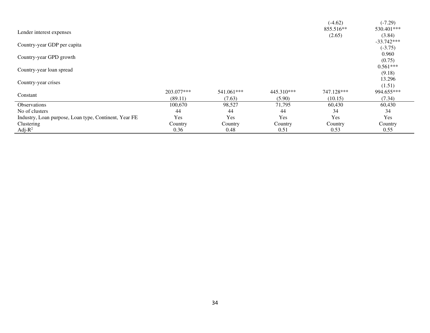|                                                       |            |            |            | $(-4.62)$  | $(-7.29)$    |
|-------------------------------------------------------|------------|------------|------------|------------|--------------|
| Lender interest expenses                              |            |            |            | 855.516**  | 530.401***   |
|                                                       |            |            |            | (2.65)     | (3.84)       |
| Country-year GDP per capita                           |            |            |            |            | $-33.742***$ |
|                                                       |            |            |            |            | $(-3.75)$    |
| Country-year GPD growth                               |            |            |            |            | 0.960        |
|                                                       |            |            |            |            | (0.75)       |
| Country-year loan spread                              |            |            |            |            | $0.561***$   |
|                                                       |            |            |            |            | (9.18)       |
| Country-year crises                                   |            |            |            |            | 13.296       |
|                                                       |            |            |            |            | (1.51)       |
|                                                       | 203.077*** | 541.061*** | 445.310*** | 747.128*** | 994.655***   |
| Constant                                              | (89.11)    | (7.63)     | (5.90)     | (10.15)    | (7.34)       |
| Observations                                          | 100,670    | 98,527     | 71,795     | 60,430     | 60,430       |
| No of clusters                                        | 44         | 44         | 44         | 34         | 34           |
| Industry, Loan purpose, Loan type, Continent, Year FE | Yes        | Yes        | Yes        | Yes        | Yes          |
| Clustering                                            | Country    | Country    | Country    | Country    | Country      |
| Adj- $R^2$                                            | 0.36       | 0.48       | 0.51       | 0.53       | 0.55         |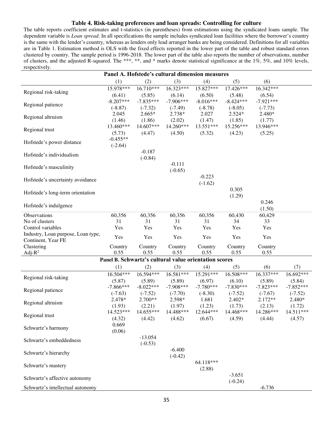#### **Table 4. Risk-taking preferences and loan spreads: Controlling for culture**

The table reports coefficient estimates and t-statistics (in parentheses) from estimations using the syndicated loans sample. The dependent variable is *Loan spread*. In all specifications the sample includes syndicated loan facilities where the borrower's country is the same with the lender's country, whereas as lenders only lead arranger banks are being considered. Definitions for all variables are in Table 1. Estimation method is OLS with the fixed effects reported in the lower part of the table and robust standard errors clustered by country. The sample period is 1996-2018. The lower part of the table also reports the number of observations, number of clusters, and the adjusted R-squared. The \*\*\*, \*\*, and \* marks denote statistical significance at the 1%, 5%, and 10% levels, respectively.

|                                                          | Panel A. Hofstede's cultural dimension measures       |              |              |              |              |             |             |
|----------------------------------------------------------|-------------------------------------------------------|--------------|--------------|--------------|--------------|-------------|-------------|
|                                                          | (1)                                                   | (2)          | (3)          | (4)          | (5)          | (6)         |             |
|                                                          | 15.978***                                             | 16.710***    | 16.323***    | 15.827***    | 17.426***    | 16.342***   |             |
| Regional risk-taking                                     | (6.41)                                                | (5.85)       | (6.14)       | (6.50)       | (5.48)       | (6.54)      |             |
|                                                          | $-8.207***$                                           | $-7.835***$  | $-7.906***$  | $-8.016***$  | $-8.424***$  | $-7.921***$ |             |
| Regional patience                                        | $(-8.87)$                                             | $(-7.32)$    | $(-7.49)$    | $(-8.78)$    | $(-8.05)$    | $(-7.73)$   |             |
| Regional altruism                                        | 2.045                                                 | $2.665*$     | 2.738*       | 2.027        | $2.524*$     | 2.480*      |             |
|                                                          | (1.46)                                                | (1.86)       | (2.02)       | (1.47)       | (1.85)       | (1.77)      |             |
| Regional trust                                           | 13.460***                                             | 14.607***    | 14.260***    | 13.551***    | 15.256***    | 13.946***   |             |
|                                                          | (5.73)                                                | (4.47)       | (4.50)       | (5.32)       | (4.23)       | (5.25)      |             |
| Hofstede's power distance                                | $-0.455**$                                            |              |              |              |              |             |             |
|                                                          | $(-2.64)$                                             |              |              |              |              |             |             |
| Hofstede's individualism                                 |                                                       | $-0.187$     |              |              |              |             |             |
|                                                          |                                                       | $(-0.84)$    |              |              |              |             |             |
| Hofstede's masculinity                                   |                                                       |              | $-0.111$     |              |              |             |             |
|                                                          |                                                       |              | $(-0.65)$    |              |              |             |             |
| Hofstede's uncertainty avoidance                         |                                                       |              |              | $-0.223$     |              |             |             |
|                                                          |                                                       |              |              | $(-1.62)$    |              |             |             |
| Hofstede's long-term orientation                         |                                                       |              |              |              | 0.305        |             |             |
|                                                          |                                                       |              |              |              | (1.29)       |             |             |
| Hofstede's indulgence                                    |                                                       |              |              |              |              | 0.246       |             |
|                                                          |                                                       |              |              |              |              | (1.50)      |             |
| Observations                                             | 60,356<br>31                                          | 60,356<br>31 | 60,356<br>31 | 60,356<br>31 | 60,430<br>34 | 60,429      |             |
| No of clusters<br>Control variables                      | Yes                                                   | Yes          | Yes          |              |              | 33          |             |
|                                                          |                                                       |              |              | Yes          | Yes          | Yes         |             |
| Industry, Loan purpose, Loan type,<br>Continent, Year FE | Yes                                                   | Yes          | Yes          | Yes          | Yes          | Yes         |             |
| Clustering                                               | Country                                               | Country      | Country      | Country      | Country      | Country     |             |
| Adj- $R^2$                                               | 0.55                                                  | 0.55         | 0.55         | 0.55         | 0.55         | 0.55        |             |
|                                                          | Panel B. Schwartz's cultural value orientation scores |              |              |              |              |             |             |
|                                                          | (1)                                                   | (2)          | (3)          | (4)          | (5)          | (6)         | (7)         |
|                                                          | 16.504***                                             | 16.594***    | 16.581***    | 15.291***    | 16.508***    | 16.337***   | 16.692***   |
| Regional risk-taking                                     | (5.87)                                                | (5.89)       | (5.89)       | (6.97)       | (6.10)       | (5.89)      | (5.84)      |
|                                                          | $-7.866***$                                           | $-8.022***$  | $-7.908***$  | $-7.780***$  | $-7.830***$  | $-7.823***$ | $-7.852***$ |
| Regional patience                                        | $(-7.63)$                                             | $(-7.52)$    | $(-7.70)$    | $(-8.30)$    | $(-7.52)$    | $(-7.67)$   | $(-7.52)$   |
| Regional altruism                                        | 2.478*                                                | 2.700**      | 2.598*       | 1.681        | $2.402*$     | 2.172**     | 2.480*      |
|                                                          | (1.93)                                                | (2.21)       | (1.97)       | (1.23)       | (1.73)       | (2.13)      | (1.72)      |
| Regional trust                                           | 14.523***                                             | 14.655***    | 14.488***    | 12.644***    | 14.468***    | 14.286***   | 14.511***   |
|                                                          | (4.32)                                                | (4.42)       | (4.62)       | (6.67)       | (4.59)       | (4.44)      | (4.57)      |
| Schwartz's harmony                                       | 0.669                                                 |              |              |              |              |             |             |
|                                                          | (0.06)                                                |              |              |              |              |             |             |
| Schwartz's embeddedness                                  |                                                       | $-13.054$    |              |              |              |             |             |
|                                                          |                                                       | $(-0.53)$    |              |              |              |             |             |
| Schwartz's hierarchy                                     |                                                       |              | $-6.400$     |              |              |             |             |
|                                                          |                                                       |              | $(-0.42)$    |              |              |             |             |
| Schwartz's mastery                                       |                                                       |              |              | 64.118***    |              |             |             |
|                                                          |                                                       |              |              | (2.88)       |              |             |             |
| Schwartz's affective autonomy                            |                                                       |              |              |              | $-3.651$     |             |             |
|                                                          |                                                       |              |              |              | $(-0.24)$    |             |             |
| Schwartz's intellectual autonomy                         |                                                       |              |              |              |              | $-6.736$    |             |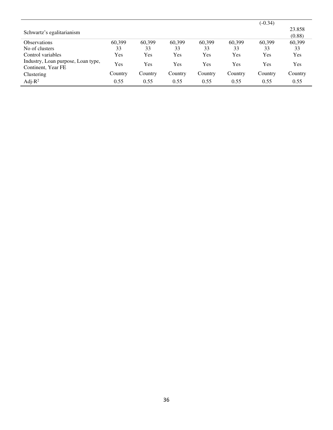|                                                          |         |         |         |         |         | $(-0.34)$ |         |
|----------------------------------------------------------|---------|---------|---------|---------|---------|-----------|---------|
|                                                          |         |         |         |         |         |           | 23.858  |
| Schwartz's egalitarianism                                |         |         |         |         |         |           | (0.88)  |
| <b>Observations</b>                                      | 60.399  | 60.399  | 60.399  | 60,399  | 60.399  | 60.399    | 60,399  |
| No of clusters                                           | 33      | 33      | 33      | 33      | 33      | 33        | 33      |
| Control variables                                        | Yes     | Yes     | Yes     | Yes     | Yes     | Yes       | Yes     |
| Industry, Loan purpose, Loan type,<br>Continent, Year FE | Yes     | Yes     | Yes     | Yes     | Yes     | Yes       | Yes     |
| Clustering                                               | Country | Country | Country | Country | Country | Country   | Country |
| Adj- $R^2$                                               | 0.55    | 0.55    | 0.55    | 0.55    | 0.55    | 0.55      | 0.55    |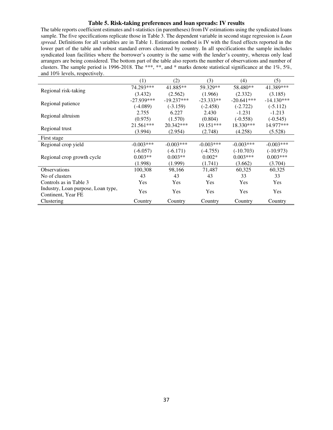# **Table 5. Risk-taking preferences and loan spreads: IV results**

The table reports coefficient estimates and t-statistics (in parentheses) from IV estimations using the syndicated loans sample. The five specifications replicate those in Table 3. The dependent variable in second stage regression is *Loan spread*. Definitions for all variables are in Table 1. Estimation method is IV with the fixed effects reported in the lower part of the table and robust standard errors clustered by country. In all specifications the sample includes syndicated loan facilities where the borrower's country is the same with the lender's country, whereas only lead arrangers are being considered. The bottom part of the table also reports the number of observations and number of clusters. The sample period is 1996-2018. The \*\*\*, \*\*, and \* marks denote statistical significance at the 1%, 5%, and 10% levels, respectively.

|                                    | (1)          | (2)          | (3)         | (4)          | (5)          |
|------------------------------------|--------------|--------------|-------------|--------------|--------------|
|                                    | 74.293***    | 41.885**     | 59.329**    | 58.480**     | 41.389***    |
| Regional risk-taking               | (3.432)      | (2.562)      | (1.966)     | (2.332)      | (3.185)      |
|                                    | $-27.939***$ | $-19.237***$ | $-23.333**$ | $-20.641***$ | $-14.130***$ |
| Regional patience                  | $(-4.089)$   | $(-3.159)$   | $(-2.458)$  | $(-2.722)$   | $(-5.112)$   |
|                                    | 2.755        | 6.227        | 2.430       | $-1.231$     | $-1.213$     |
| Regional altruism                  | (0.975)      | (1.570)      | (0.804)     | $(-0.558)$   | $(-0.545)$   |
|                                    | $21.561***$  | $20.342***$  | $19.151***$ | $18.330***$  | 14.977***    |
| Regional trust                     | (3.994)      | (2.954)      | (2.748)     | (4.258)      | (5.528)      |
| First stage                        |              |              |             |              |              |
| Regional crop yield                | $-0.003***$  | $-0.003***$  | $-0.003***$ | $-0.003***$  | $-0.003***$  |
|                                    | $(-6.057)$   | $(-6.171)$   | $(-4.755)$  | $(-10.703)$  | $(-10.973)$  |
| Regional crop growth cycle         | $0.003**$    | $0.003**$    | $0.002*$    | $0.003***$   | $0.003***$   |
|                                    | (1.998)      | (1.999)      | (1.741)     | (3.662)      | (3.704)      |
| <b>Observations</b>                | 100,308      | 98,166       | 71,487      | 60,325       | 60,325       |
| No of clusters                     | 43           | 43           | 43          | 33           | 33           |
| Controls as in Table 3             | Yes          | Yes          | <b>Yes</b>  | Yes          | <b>Yes</b>   |
| Industry, Loan purpose, Loan type, | Yes          | Yes          | Yes         | Yes          | <b>Yes</b>   |
|                                    |              |              |             |              |              |
| Continent, Year FE<br>Clustering   | Country      | Country      | Country     | Country      | Country      |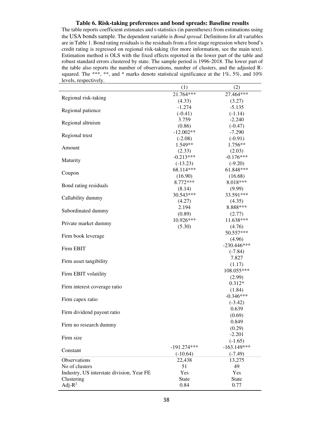#### **Table 6. Risk-taking preferences and bond spreads: Baseline results**

The table reports coefficient estimates and t-statistics (in parentheses) from estimations using the USA bonds sample. The dependent variable is *Bond spread*. Definitions for all variables are in Table 1. Bond rating residuals is the residuals from a first stage regression where bond's credit rating is regressed on regional risk-taking (for more information, see the main text). Estimation method is OLS with the fixed effects reported in the lower part of the table and robust standard errors clustered by state. The sample period is 1996-2018. The lower part of the table also reports the number of observations, number of clusters, and the adjusted Rsquared. The \*\*\*, \*\*, and \* marks denote statistical significance at the 1%, 5%, and 10% levels, respectively.

 $\overline{a}$ 

|                                           | (1)                  | (2)           |
|-------------------------------------------|----------------------|---------------|
|                                           | 21.764***            | 27.464***     |
| Regional risk-taking                      | (4.33)               | (3.27)        |
|                                           | $-1.274$             | $-5.135$      |
| Regional patience                         | $(-0.41)$            | $(-1.14)$     |
|                                           | 3.759                | $-2.240$      |
| Regional altruism                         | (0.86)               | $(-0.47)$     |
|                                           | $-12.002**$          | $-7.290$      |
| Regional trust                            |                      | $(-0.91)$     |
|                                           | $(-2.08)$<br>1.549** | 1.756**       |
| Amount                                    |                      |               |
|                                           | (2.33)               | (2.03)        |
| Maturity                                  | $-0.213***$          | $-0.176***$   |
|                                           | $(-13.23)$           | $(-9.20)$     |
| Coupon                                    | 68.114***            | 61.848***     |
|                                           | (16.90)              | (16.68)       |
|                                           | 8.772***             | 8.018***      |
| Bond rating residuals                     | (8.14)               | (9.99)        |
|                                           | 30.543***            | 33.591***     |
| Callability dummy                         | (4.27)               | (4.35)        |
|                                           | 2.194                | 8.888***      |
| Subordinated dummy                        | (0.89)               | (2.77)        |
|                                           | 10.926***            | 11.638***     |
| Private market dummy                      |                      |               |
|                                           | (5.30)               | (4.76)        |
| Firm book leverage                        |                      | 50.557***     |
|                                           |                      | (4.96)        |
| Firm EBIT                                 |                      | $-230.446***$ |
|                                           |                      | $(-7.84)$     |
| Firm asset tangibility                    |                      | 7.827         |
|                                           |                      | (1.17)        |
|                                           |                      | 108.055***    |
| Firm EBIT volatility                      |                      | (2.99)        |
|                                           |                      | $0.312*$      |
| Firm interest coverage ratio              |                      | (1.84)        |
|                                           |                      | $-0.346***$   |
| Firm capex ratio                          |                      | $(-3.42)$     |
|                                           |                      |               |
| Firm dividend payout ratio                |                      | 0.639         |
|                                           |                      | (0.69)        |
| Firm no research dummy                    |                      | 0.849         |
|                                           |                      | (0.29)        |
| Firm size                                 |                      | $-2.201$      |
|                                           |                      | $(-1.65)$     |
|                                           | $-191.274***$        | $-163.149***$ |
| Constant                                  | $(-10.64)$           | $(-7.49)$     |
| Observations                              | 22,438               | 13,275        |
| No of clusters                            | 51                   | 49            |
| Industry, US interstate division, Year FE | Yes                  | Yes           |
| Clustering                                | <b>State</b>         | <b>State</b>  |
| Adj- $R^2$                                | 0.84                 | 0.77          |
|                                           |                      |               |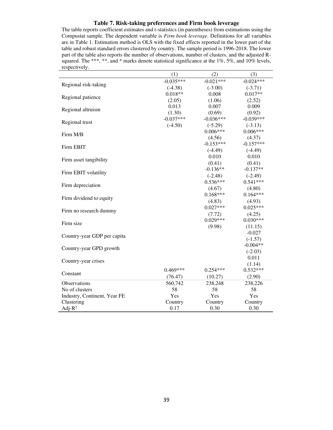### **Table 7. Risk-taking preferences and Firm book leverage**

The table reports coefficient estimates and t-statistics (in parentheses) from estimations using the Compustat sample. The dependent variable is *Firm book leverage*. Definitions for all variables are in Table 1. Estimation method is OLS with the fixed effects reported in the lower part of the table and robust standard errors clustered by country. The sample period is 1996-2018. The lower part of the table also reports the number of observations, number of clusters, and the adjusted Rsquared. The \*\*\*, \*\*, and \* marks denote statistical significance at the 1%, 5%, and 10% levels, respectively.

|                              | (1)         | (2)         | (3)         |
|------------------------------|-------------|-------------|-------------|
|                              | $-0.035***$ | $-0.021***$ | $-0.024***$ |
| Regional risk-taking         | $(-4.38)$   | $(-3.00)$   | $(-3.71)$   |
| Regional patience            | $0.018**$   | 0.008       | $0.017**$   |
|                              | (2.05)      | (1.06)      | (2.52)      |
|                              | 0.013       | 0.007       | 0.009       |
| Regional altruism            | (1.30)      | (0.69)      | (0.92)      |
| Regional trust               | $-0.037***$ | $-0.036***$ | $-0.039***$ |
|                              | $(-4.50)$   | $(-5.29)$   | $(-3.13)$   |
| Firm M/B                     |             | $0.006***$  | $0.006***$  |
|                              |             | (4.56)      | (4.37)      |
| Firm EBIT                    |             | $-0.153***$ | $-0.157***$ |
|                              |             | $(-4.49)$   | $(-4.49)$   |
| Firm asset tangibility       |             | 0.010       | 0.010       |
|                              |             | (0.41)      | (0.41)      |
| Firm EBIT volatility         |             | $-0.136**$  | $-0.137**$  |
|                              |             | $(-2.48)$   | $(-2.49)$   |
| Firm depreciation            |             | $0.536***$  | $0.541***$  |
|                              |             | (4.67)      | (4.80)      |
| Firm dividend to equity      |             | $0.168***$  | $0.164***$  |
|                              |             | (4.83)      | (4.93)      |
| Firm no research dummy       |             | $0.027***$  | $0.025***$  |
|                              |             | (7.72)      | (4.25)      |
| Firm size                    |             | $0.029***$  | $0.030***$  |
|                              |             | (9.98)      | (11.15)     |
| Country-year GDP per capita  |             |             | $-0.027$    |
|                              |             |             | $(-1.57)$   |
| Country-year GPD growth      |             |             | $-0.004**$  |
|                              |             |             | $(-2.03)$   |
| Country-year crises          |             |             | 0.011       |
|                              |             |             | (1.14)      |
| Constant                     | $0.469***$  | $0.254***$  | $0.532***$  |
|                              | (76.47)     | (10.27)     | (2.90)      |
| Observations                 | 560,742     | 238,248     | 238,226     |
| No of clusters               | 58          | 58          | 58          |
| Industry, Continent, Year FE | Yes         | Yes         | Yes         |
| Clustering                   | Country     | Country     | Country     |
| Adj- $R^2$                   | 0.17        | 0.30        | 0.30        |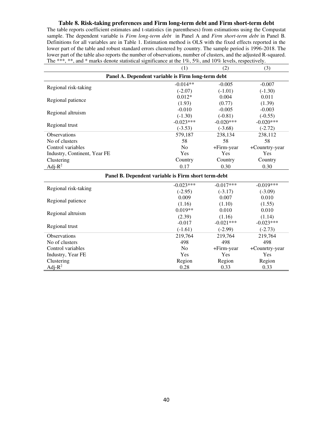#### **Table 8. Risk-taking preferences and Firm long-term debt and Firm short-term debt**

The table reports coefficient estimates and t-statistics (in parentheses) from estimations using the Compustat sample. The dependent variable is *Firm long-term debt* in Panel A and *Firm short-term debt* in Panel B*.* Definitions for all variables are in Table 1. Estimation method is OLS with the fixed effects reported in the lower part of the table and robust standard errors clustered by country. The sample period is 1996-2018. The lower part of the table also reports the number of observations, number of clusters, and the adjusted R-squared. The \*\*\*, \*\*, and \* marks denote statistical significance at the 1%, 5%, and 10% levels, respectively.

|                              | (1)                                                | (2)          | (3)            |
|------------------------------|----------------------------------------------------|--------------|----------------|
|                              | Panel A. Dependent variable is Firm long-term debt |              |                |
|                              | $-0.014**$                                         | $-0.005$     | $-0.007$       |
| Regional risk-taking         | $(-2.07)$                                          | $(-1.01)$    | $(-1.30)$      |
|                              | $0.012*$                                           | 0.004        | 0.011          |
| Regional patience            | (1.93)                                             | (0.77)       | (1.39)         |
|                              | $-0.010$                                           | $-0.005$     | $-0.003$       |
| Regional altruism            | $(-1.30)$                                          | $(-0.81)$    | $(-0.55)$      |
|                              | $-0.023***$                                        | $-0.020$ *** | $-0.020***$    |
| Regional trust               | $(-3.53)$                                          | $(-3.68)$    | $(-2.72)$      |
| <b>Observations</b>          | 579,187                                            | 238,134      | 238,112        |
| No of clusters               | 58                                                 | 58           | 58             |
| Control variables            | N <sub>0</sub>                                     | $+Firm-year$ | +Counrtry-year |
| Industry, Continent, Year FE | Yes                                                | <b>Yes</b>   | Yes            |
| Clustering                   | Country                                            | Country      | Country        |
| Adj- $R^2$                   | 0.17                                               | 0.30         | 0.30           |

| Panel B. Dependent variable is Firm short term-debt |                |             |                |  |  |  |  |
|-----------------------------------------------------|----------------|-------------|----------------|--|--|--|--|
|                                                     | $-0.023***$    | $-0.017***$ | $-0.019***$    |  |  |  |  |
| Regional risk-taking                                | $(-2.95)$      | $(-3.17)$   | $(-3.09)$      |  |  |  |  |
|                                                     | 0.009          | 0.007       | 0.010          |  |  |  |  |
| Regional patience                                   | (1.16)         | (1.10)      | (1.55)         |  |  |  |  |
|                                                     | $0.019**$      | 0.010       | 0.010          |  |  |  |  |
| Regional altruism                                   | (2.39)         | (1.16)      | (1.14)         |  |  |  |  |
|                                                     | $-0.017$       | $-0.021***$ | $-0.023***$    |  |  |  |  |
| Regional trust                                      | $(-1.61)$      | $(-2.99)$   | $(-2.73)$      |  |  |  |  |
| <b>Observations</b>                                 | 219,764        | 219,764     | 219,764        |  |  |  |  |
| No of clusters                                      | 498            | 498         | 498            |  |  |  |  |
| Control variables                                   | N <sub>0</sub> | +Firm-year  | +Counrtry-year |  |  |  |  |
| Industry, Year FE                                   | Yes            | Yes         | <b>Yes</b>     |  |  |  |  |
| Clustering                                          | Region         | Region      | Region         |  |  |  |  |
| Adj- $R^2$                                          | 0.28           | 0.33        | 0.33           |  |  |  |  |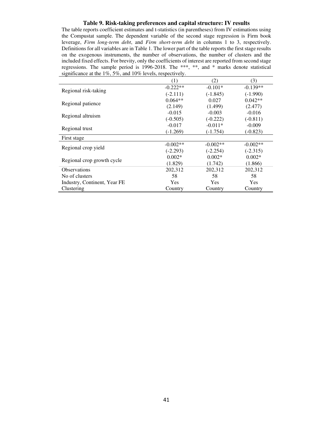#### **Table 9. Risk-taking preferences and capital structure: IV results**

The table reports coefficient estimates and t-statistics (in parentheses) from IV estimations using the Compustat sample. The dependent variable of the second stage regression is Firm book leverage, *Firm long-term debt*, and *Firm short-term debt* in columns 1 to 3, respectively. Definitions for all variables are in Table 1. The lower part of the table reports the first stage results on the exogenous instruments, the number of observations, the number of clusters and the included fixed effects. For brevity, only the coefficients of interest are reported from second stage regressions. The sample period is 1996-2018. The \*\*\*, \*\*, and \* marks denote statistical significance at the  $1\%, 5\%,$  and  $10\%$  levels, respectively.

|                              | (1)                                                                                                    | (2)        | (3)        |
|------------------------------|--------------------------------------------------------------------------------------------------------|------------|------------|
|                              | $-0.222**$                                                                                             | $-0.101*$  | $-0.139**$ |
| Regional risk-taking         | $(-2.111)$                                                                                             | $(-1.845)$ | $(-1.990)$ |
|                              | $0.064**$                                                                                              | 0.027      | $0.042**$  |
| Regional patience            | (2.149)                                                                                                | (1.499)    | (2.477)    |
| Regional altruism            | $-0.015$                                                                                               | $-0.003$   | $-0.016$   |
|                              | $(-0.505)$                                                                                             | $(-0.222)$ | $(-0.811)$ |
| Regional trust               | $-0.017$                                                                                               | $-0.011*$  | $-0.009$   |
|                              | $(-1.269)$                                                                                             | $(-1.754)$ | $(-0.823)$ |
| First stage                  |                                                                                                        |            |            |
| Regional crop yield          | $-0.002**$                                                                                             | $-0.002**$ | $-0.002**$ |
|                              | $(-2.293)$                                                                                             | $(-2.254)$ | $(-2.315)$ |
| Regional crop growth cycle   | $0.002*$                                                                                               | $0.002*$   | $0.002*$   |
|                              | (1.829)<br>(1.742)<br>202,312<br>202,312<br>58<br>58<br><b>Yes</b><br><b>Yes</b><br>Country<br>Country |            | (1.866)    |
| <b>Observations</b>          |                                                                                                        |            | 202,312    |
| No of clusters               |                                                                                                        |            | 58         |
| Industry, Continent, Year FE |                                                                                                        |            | <b>Yes</b> |
| Clustering                   |                                                                                                        |            | Country    |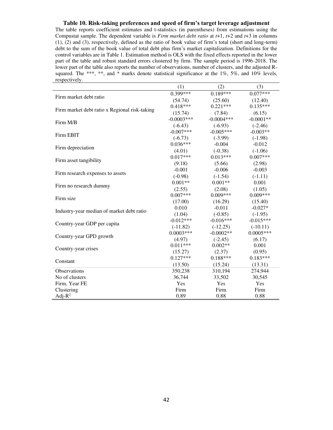#### **Table 10. Risk-taking preferences and speed of firm's target leverage adjustment**

The table reports coefficient estimates and t-statistics (in parentheses) from estimations using the Compustat sample. The dependent variable is *Firm market debt ratio* at *t*+1, *t*+2 and *t*+3 in columns (1), (2) and (3), respectively, defined as the ratio of book value of firm's total (short and long-term) debt to the sum of the book value of total debt plus firm's market capitalization. Definitions for the control variables are in Table 1. Estimation method is OLS with the fixed effects reported in the lower part of the table and robust standard errors clustered by firm. The sample period is 1996-2018. The lower part of the table also reports the number of observations, number of clusters, and the adjusted Rsquared. The \*\*\*, \*\*, and \* marks denote statistical significance at the 1%, 5%, and 10% levels, respectively.

|                                               | (1)          | (2)          | (3)         |
|-----------------------------------------------|--------------|--------------|-------------|
| Firm market debt ratio                        | $0.399***$   | $0.189***$   | $0.077***$  |
|                                               | (54.74)      | (25.60)      | (12.40)     |
|                                               | $0.418***$   | $0.221***$   | $0.135***$  |
| Firm market debt ratio x Regional risk-taking | (15.74)      | (7.84)       | (6.15)      |
| Firm M/B                                      | $-0.0003***$ | $-0.0004***$ | $-0.0001**$ |
|                                               | $(-6.43)$    | $(-6.93)$    | $(-2.46)$   |
| Firm EBIT                                     | $-0.007***$  | $-0.005***$  | $-0.003**$  |
|                                               | $(-6.73)$    | $(-3.99)$    | $(-1.98)$   |
| Firm depreciation                             | $0.036***$   | $-0.004$     | $-0.012$    |
|                                               | (4.01)       | $(-0.38)$    | $(-1.06)$   |
| Firm asset tangibility                        | $0.017***$   | $0.013***$   | $0.007***$  |
|                                               | (9.18)       | (5.66)       | (2.98)      |
| Firm research expenses to assets              | $-0.001$     | $-0.006$     | $-0.003$    |
|                                               | $(-0.98)$    | $(-1.54)$    | $(-1.11)$   |
|                                               | $0.001**$    | $0.001**$    | 0.001       |
| Firm no research dummy                        | (2.55)       | (2.08)       | (1.05)      |
| Firm size                                     | $0.007***$   | $0.009***$   | $0.009***$  |
|                                               | (17.00)      | (16.29)      | (15.40)     |
| Industry-year median of market debt ratio     | 0.010        | $-0.011$     | $-0.027*$   |
|                                               | (1.04)       | $(-0.85)$    | $(-1.95)$   |
| Country-year GDP per capita                   | $-0.012***$  | $-0.016***$  | $-0.015***$ |
|                                               | $(-11.82)$   | $(-12.25)$   | $(-10.11)$  |
| Country-year GPD growth                       | $0.0003***$  | $-0.0002**$  | $0.0005***$ |
|                                               | (4.97)       | $(-2.45)$    | (6.17)      |
| Country-year crises                           | $0.011***$   | $0.002**$    | 0.001       |
|                                               | (15.27)      | (2.37)       | (0.95)      |
| Constant                                      | $0.127***$   | $0.188***$   | $0.183***$  |
|                                               | (13.50)      | (15.24)      | (13.31)     |
| Observations                                  | 350,238      | 310,194      | 274,944     |
| No of clusters                                | 36,744       | 33,502       | 30,545      |
| Firm, Year FE                                 | Yes          | Yes          | Yes         |
| Clustering                                    | Firm         | Firm         | Firm        |
| Adj- $R^2$                                    | 0.89         | 0.88         | 0.88        |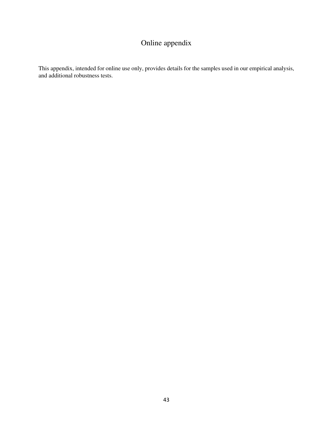# Online appendix

This appendix, intended for online use only, provides details for the samples used in our empirical analysis, and additional robustness tests.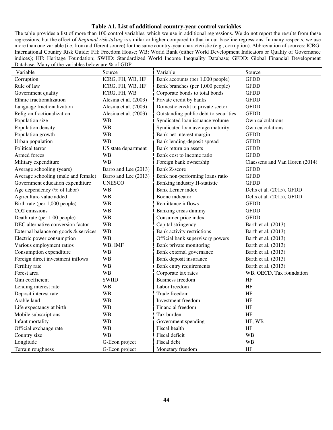### **Table A1. List of additional country-year control variables**

The table provides a list of more than 100 control variables, which we use in additional regressions. We do not report the results from these regressions, but the effect of *Regional risk-taking* is similar or higher compared to that in our baseline regressions. In many respects, we use more than one variable (i.e. from a different source) for the same country-year characteristic (e.g., corruption). Abbreviation of sources: ICRG: International Country Risk Guide; FH: Freedom House; WB: World Bank (either World Development Indicators or Quality of Governance indices); HF: Heritage Foundation; SWIID: Standardized World Income Inequality Database; GFDD: Global Financial Development Database. Many of the variables below are % of GDP.

| Variable                             | Source                | Variable                              | Source                         |
|--------------------------------------|-----------------------|---------------------------------------|--------------------------------|
| Corruption                           | ICRG, FH, WB, HF      | Bank accounts (per 1,000 people)      | <b>GFDD</b>                    |
| Rule of law                          | ICRG, FH, WB, HF      | Bank branches (per 1,000 people)      | <b>GFDD</b>                    |
| Government quality                   | ICRG, FH, WB          | Corporate bonds to total bonds        | <b>GFDD</b>                    |
| Ethnic fractionalization             | Alesina et al. (2003) | Private credit by banks               | <b>GFDD</b>                    |
| Language fractionalization           | Alesina et al. (2003) | Domestic credit to private sector     | <b>GFDD</b>                    |
| Religion fractionalization           | Alesina et al. (2003) | Outstanding public debt to securities | <b>GFDD</b>                    |
| Population size                      | <b>WB</b>             | Syndicated loan issuance volume       | Own calculations               |
| Population density                   | <b>WB</b>             | Syndicated loan average maturity      | Own calculations               |
| Population growth                    | <b>WB</b>             | Bank net interest margin              | <b>GFDD</b>                    |
| Urban population                     | <b>WB</b>             | Bank lending-deposit spread           | <b>GFDD</b>                    |
| Political terror                     | US state department   | Bank return on assets                 | <b>GFDD</b>                    |
| Armed forces                         | <b>WB</b>             | Bank cost to income ratio             | <b>GFDD</b>                    |
| Military expenditure                 | <b>WB</b>             | Foreign bank ownership                | Claessens and Van Horen (2014) |
| Average schooling (years)            | Barro and Lee (2013)  | <b>Bank Z-score</b>                   | <b>GFDD</b>                    |
| Average schooling (male and female)  | Barro and Lee (2013)  | Bank non-performing loans ratio       | <b>GFDD</b>                    |
| Government education expenditure     | <b>UNESCO</b>         | Banking industry H-statistic          | <b>GFDD</b>                    |
| Age dependency (% of labor)          | <b>WB</b>             | <b>Bank Lerner index</b>              | Delis et al. (2015), GFDD      |
| Agriculture value added              | <b>WB</b>             | Boone indicator                       | Delis et al. (2015), GFDD      |
| Birth rate (per 1,000 people)        | <b>WB</b>             | Remittance inflows                    | <b>GFDD</b>                    |
| CO <sub>2</sub> emissions            | <b>WB</b>             | Banking crisis dummy                  | <b>GFDD</b>                    |
| Death rate (per 1,00 people)         | <b>WB</b>             | Consumer price index                  | <b>GFDD</b>                    |
| DEC alternative conversion factor    | <b>WB</b>             | Capital stringency                    | Barth et al. (2013)            |
| External balance on goods & services | <b>WB</b>             | Bank activity restrictions            | Barth et al. (2013)            |
| Electric power consumption           | <b>WB</b>             | Official bank supervisory powers      | Barth et al. (2013)            |
| Various employment ratios            | WB, IMF               | Bank private monitoring               | Barth et al. (2013)            |
| Consumption expenditure              | <b>WB</b>             | Bank external governance              | Barth et al. (2013)            |
| Foreign direct investment inflows    | <b>WB</b>             | Bank deposit insurance                | Barth et al. (2013)            |
| Fertility rate                       | WB                    | Bank entry requirements               | Barth et al. (2013)            |
| Forest area                          | <b>WB</b>             | Corporate tax rates                   | WB, OECD, Tax foundation       |
| Gini coefficient                     | <b>SWIID</b>          | <b>Business freedom</b>               | HF                             |
| Lending interest rate                | <b>WB</b>             | Labor freedom                         | HF                             |
| Deposit interest rate                | <b>WB</b>             | Trade freedom                         | HF                             |
| Arable land                          | <b>WB</b>             | Investment freedom                    | HF                             |
| Life expectancy at birth             | <b>WB</b>             | Financial freedom                     | HF                             |
| Mobile subscriptions                 | <b>WB</b>             | Tax burden                            | HF                             |
| Infant mortality                     | <b>WB</b>             | Government spending                   | HF, WB                         |
| Official exchange rate               | <b>WB</b>             | Fiscal health                         | HF                             |
| Country size                         | <b>WB</b>             | Fiscal deficit                        | <b>WB</b>                      |
| Longitude                            | G-Econ project        | Fiscal debt                           | <b>WB</b>                      |
| Terrain roughness                    | G-Econ project        | Monetary freedom                      | HF                             |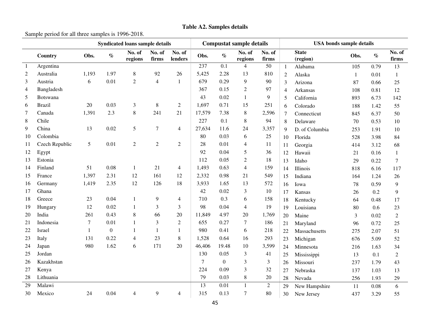# **Table A2. Samples details**

Sample period for all three samples is 1996-2018.

|                | <b>Syndicated loans sample details</b> |              |              |                   |                 | <b>Compustat sample details</b> |                |                | <b>USA</b> bonds sample details |                 |                |                          |              |      |                 |
|----------------|----------------------------------------|--------------|--------------|-------------------|-----------------|---------------------------------|----------------|----------------|---------------------------------|-----------------|----------------|--------------------------|--------------|------|-----------------|
|                | Country                                | Obs.         | $\%$         | No. of<br>regions | No. of<br>firms | No. of<br>lenders               | Obs.           | $\%$           | No. of<br>regions               | No. of<br>firms |                | <b>State</b><br>(region) | Obs.         | $\%$ | No. of<br>firms |
| $\overline{1}$ | Argentina                              |              |              |                   |                 |                                 | 237            | 0.1            | $\overline{4}$                  | 50              | 1              | Alabama                  | 105          | 0.79 | 13              |
| 2              | Australia                              | 1,193        | 1.97         | $\,$ 8 $\,$       | 92              | 26                              | 5,425          | 2.28           | 13                              | 810             | 2              | Alaska                   | $\mathbf{1}$ | 0.01 | 1               |
| 3              | Austria                                | 6            | 0.01         | $\overline{2}$    | $\overline{4}$  | 1                               | 679            | 0.29           | 9                               | 90              | 3              | Arizona                  | 87           | 0.66 | 25              |
| 4              | Bangladesh                             |              |              |                   |                 |                                 | 367            | 0.15           | $\overline{2}$                  | 97              | $\overline{4}$ | Arkansas                 | 108          | 0.81 | 12              |
| 5              | Botswana                               |              |              |                   |                 |                                 | 43             | 0.02           | $\mathbf{1}$                    | 9               | 5              | California               | 893          | 6.73 | 142             |
| 6              | <b>Brazil</b>                          | 20           | 0.03         | 3                 | $8\,$           | $\overline{2}$                  | 1,697          | 0.71           | 15                              | 251             | 6              | Colorado                 | 188          | 1.42 | 55              |
| 7              | Canada                                 | 1,391        | 2.3          | 8                 | 241             | 21                              | 17,579         | 7.38           | 8                               | 2,596           | 7              | Connecticut              | 845          | 6.37 | 50              |
| 8              | Chile                                  |              |              |                   |                 |                                 | 227            | 0.1            | 8                               | 94              | 8              | Delaware                 | 70           | 0.53 | 10              |
| 9              | China                                  | 13           | 0.02         | 5                 | $\tau$          | $\overline{4}$                  | 27,634         | 11.6           | 24                              | 3,357           | 9              | D. of Columbia           | 253          | 1.91 | 10              |
| 10             | Colombia                               |              |              |                   |                 |                                 | 80             | 0.03           | 6                               | 25              | 10             | Florida                  | 528          | 3.98 | 84              |
| 11             | Czech Republic                         | 5            | 0.01         | $\overline{2}$    | $\overline{2}$  | $\overline{2}$                  | 28             | 0.01           | 4                               | 11              | 11             | Georgia                  | 414          | 3.12 | 68              |
| 12             | Egypt                                  |              |              |                   |                 |                                 | 92             | 0.04           | 5                               | 36              | 12             | Hawaii                   | 21           | 0.16 | 1               |
| 13             | Estonia                                |              |              |                   |                 |                                 | 112            | 0.05           | $\mathbf{2}$                    | 18              | 13             | Idaho                    | 29           | 0.22 | 7               |
| 14             | Finland                                | 51           | 0.08         | $\mathbf{1}$      | 21              | $\overline{4}$                  | 1,493          | 0.63           | $\overline{4}$                  | 159             | 14             | Illinois                 | 818          | 6.16 | 117             |
| 15             | France                                 | 1,397        | 2.31         | 12                | 161             | 12                              | 2,332          | 0.98           | 21                              | 549             | 15             | Indiana                  | 164          | 1.24 | 26              |
| 16             | Germany                                | 1,419        | 2.35         | 12                | 126             | 18                              | 3,933          | 1.65           | 13                              | 572             | 16             | Iowa                     | 78           | 0.59 | 9               |
| 17             | Ghana                                  |              |              |                   |                 |                                 | 42             | 0.02           | 3                               | 10              | 17             | Kansas                   | 26           | 0.2  | 9               |
| 18             | Greece                                 | 23           | 0.04         | $\mathbf{1}$      | 9               | $\overline{4}$                  | 710            | 0.3            | 6                               | 158             | 18             | Kentucky                 | 64           | 0.48 | 17              |
| 19             | Hungary                                | 12           | 0.02         | $\mathbf{1}$      | 3               | 3                               | 98             | 0.04           | $\overline{4}$                  | 19              | 19             | Louisiana                | 80           | 0.6  | 23              |
| 20             | India                                  | 261          | 0.43         | 8                 | 66              | 20                              | 11,849         | 4.97           | 20                              | 1,769           | 20             | Maine                    | 3            | 0.02 | $\overline{2}$  |
| 21             | Indonesia                              | $\tau$       | 0.01         | $\mathbf{1}$      | 3               | $\mathfrak{2}$                  | 655            | 0.27           | $\tau$                          | 186             | 21             | Maryland                 | 96           | 0.72 | 25              |
| 22             | Israel                                 | $\mathbf{1}$ | $\mathbf{0}$ | $\mathbf{1}$      | $\mathbf{1}$    | 1                               | 980            | 0.41           | 6                               | 218             | 22             | Massachusetts            | 275          | 2.07 | 51              |
| 23             | Italy                                  | 131          | 0.22         | 4                 | 23              | $\,8\,$                         | 1,528          | 0.64           | 16                              | 293             | 23             | Michigan                 | 676          | 5.09 | 52              |
| 24             | Japan                                  | 980          | 1.62         | 6                 | 171             | 20                              | 46,406         | 19.48          | 10                              | 3,599           | 24             | Minnesota                | 216          | 1.63 | 34              |
| 25             | Jordan                                 |              |              |                   |                 |                                 | 130            | 0.05           | 3                               | 41              | 25             | Mississippi              | 13           | 0.1  | $\overline{2}$  |
| 26             | Kazakhstan                             |              |              |                   |                 |                                 | $\overline{7}$ | $\overline{0}$ | 3                               | 3               | 26             | Missouri                 | 237          | 1.79 | 43              |
| 27             | Kenya                                  |              |              |                   |                 |                                 | 224            | 0.09           | 3                               | 32              | 27             | Nebraska                 | 137          | 1.03 | 13              |
| 28             | Lithuania                              |              |              |                   |                 |                                 | 79             | 0.03           | 8                               | 20              | 28             | Nevada                   | 256          | 1.93 | 29              |
| 29             | Malawi                                 |              |              |                   |                 |                                 | 13             | 0.01           | $\mathbf{1}$                    | $\overline{2}$  | 29             | New Hampshire            | 11           | 0.08 | 6               |
| 30             | Mexico                                 | 24           | 0.04         | 4                 | 9               | $\overline{4}$                  | 315            | 0.13           | 7                               | 80              | 30             | New Jersey               | 437          | 3.29 | 55              |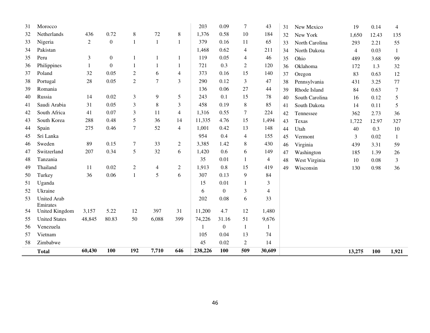| 31 | Morocco                    |                |                  |                  |                |                | 203     | 0.09             | $\overline{7}$ | 43                       | 31 | New Mexico     | 19             | 0.14  | $\overline{4}$ |
|----|----------------------------|----------------|------------------|------------------|----------------|----------------|---------|------------------|----------------|--------------------------|----|----------------|----------------|-------|----------------|
| 32 | Netherlands                | 436            | 0.72             | 8                | $72\,$         | 8              | 1,376   | 0.58             | 10             | 184                      | 32 | New York       | 1,650          | 12.43 | 135            |
| 33 | Nigeria                    | $\overline{c}$ | $\boldsymbol{0}$ | $\mathbf{1}$     | $\mathbf{1}$   | 1              | 379     | 0.16             | 11             | 65                       | 33 | North Carolina | 293            | 2.21  | 55             |
| 34 | Pakistan                   |                |                  |                  |                |                | 1,468   | 0.62             | $\overline{4}$ | 211                      | 34 | North Dakota   | $\overline{4}$ | 0.03  | $\mathbf{1}$   |
| 35 | Peru                       | 3              | $\boldsymbol{0}$ | -1               | 1              | 1              | 119     | 0.05             | $\overline{4}$ | 46                       | 35 | Ohio           | 489            | 3.68  | 99             |
| 36 | Philippines                | $\mathbf{1}$   | $\boldsymbol{0}$ | 1                | $\mathbf{1}$   | 1              | 721     | 0.3              | $\overline{c}$ | 120                      | 36 | Oklahoma       | 172            | 1.3   | 32             |
| 37 | Poland                     | 32             | 0.05             | $\overline{2}$   | 6              | $\overline{4}$ | 373     | 0.16             | 15             | 140                      | 37 | Oregon         | 83             | 0.63  | 12             |
| 38 | Portugal                   | 28             | 0.05             | $\sqrt{2}$       | $\overline{7}$ | 3              | 290     | 0.12             | 3              | 47                       | 38 | Pennsylvania   | 431            | 3.25  | 77             |
| 39 | Romania                    |                |                  |                  |                |                | 136     | 0.06             | 27             | 44                       | 39 | Rhode Island   | 84             | 0.63  | $\tau$         |
| 40 | Russia                     | 14             | 0.02             | $\mathfrak{Z}$   | 9              | 5              | 243     | 0.1              | 15             | 78                       | 40 | South Carolina | 16             | 0.12  | 5              |
| 41 | Saudi Arabia               | 31             | 0.05             | $\mathfrak{Z}$   | $\,8\,$        | 3              | 458     | 0.19             | 8              | 85                       | 41 | South Dakota   | 14             | 0.11  | 5              |
| 42 | South Africa               | 41             | 0.07             | 3                | 11             | $\overline{4}$ | 1,316   | 0.55             | $\overline{7}$ | 224                      | 42 | Tennessee      | 362            | 2.73  | 36             |
| 43 | South Korea                | 288            | 0.48             | 5                | 36             | 14             | 11,335  | 4.76             | 15             | 1,494                    | 43 | Texas          | 1,722          | 12.97 | 327            |
| 44 | Spain                      | 275            | 0.46             | $\overline{7}$   | 52             | $\overline{4}$ | 1,001   | 0.42             | 13             | 148                      | 44 | Utah           | 40             | 0.3   | 10             |
| 45 | Sri Lanka                  |                |                  |                  |                |                | 954     | 0.4              | $\overline{4}$ | 155                      | 45 | Vermont        | 3              | 0.02  | $\mathbf{1}$   |
| 46 | Sweden                     | 89             | 0.15             | $\boldsymbol{7}$ | 33             | 2              | 3,385   | 1.42             | 8              | 430                      | 46 | Virginia       | 439            | 3.31  | 59             |
| 47 | Switzerland                | 207            | 0.34             | 5                | 32             | 6              | 1,420   | 0.6              | 6              | 149                      | 47 | Washington     | 185            | 1.39  | 26             |
| 48 | Tanzania                   |                |                  |                  |                |                | 35      | 0.01             | $\mathbf{1}$   | $\overline{4}$           | 48 | West Virginia  | 10             | 0.08  | 3              |
| 49 | Thailand                   | 11             | 0.02             | $\mathfrak{2}$   | 4              | $\overline{c}$ | 1,913   | 0.8              | 15             | 419                      | 49 | Wisconsin      | 130            | 0.98  | 36             |
| 50 | Turkey                     | 36             | 0.06             | $\mathbf{1}$     | 5              | 6              | 307     | 0.13             | 9              | 84                       |    |                |                |       |                |
| 51 | Uganda                     |                |                  |                  |                |                | 15      | 0.01             | $\mathbf{1}$   | 3                        |    |                |                |       |                |
| 52 | Ukraine                    |                |                  |                  |                |                | 6       | $\theta$         | 3              | $\overline{\mathcal{L}}$ |    |                |                |       |                |
| 53 | <b>United Arab</b>         |                |                  |                  |                |                | 202     | 0.08             | 6              | 33                       |    |                |                |       |                |
| 54 | Emirates<br>United Kingdom | 3,157          | 5.22             | 12               | 397            | 31             | 11,200  | 4.7              | 12             | 1,480                    |    |                |                |       |                |
| 55 | <b>United States</b>       | 48,845         | 80.83            | 50               | 6,088          | 399            | 74,226  | 31.16            | 51             | 9,676                    |    |                |                |       |                |
| 56 | Venezuela                  |                |                  |                  |                |                |         | $\boldsymbol{0}$ | $\mathbf{1}$   | 1                        |    |                |                |       |                |
| 57 | Vietnam                    |                |                  |                  |                |                | 105     | 0.04             | 13             | 74                       |    |                |                |       |                |
| 58 | Zimbabwe                   |                |                  |                  |                |                | 45      | 0.02             | $\overline{2}$ | 14                       |    |                |                |       |                |
|    |                            | 60,430         | 100              | 192              | 7,710          | 646            | 238,226 | 100              | 509            | 30,609                   |    |                |                |       |                |
|    | <b>Total</b>               |                |                  |                  |                |                |         |                  |                |                          |    |                | 13,275         | 100   | 1,921          |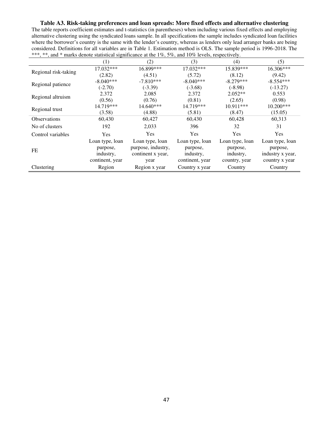### **Table A3. Risk-taking preferences and loan spreads: More fixed effects and alternative clustering**

The table reports coefficient estimates and t-statistics (in parentheses) when including various fixed effects and employing alternative clustering using the syndicated loans sample. In all specifications the sample includes syndicated loan facilities where the borrower's country is the same with the lender's country, whereas as lenders only lead arranger banks are being considered. Definitions for all variables are in Table 1. Estimation method is OLS. The sample period is 1996-2018. The \*\*\*, \*\*, and \* marks denote statistical significance at the 1%, 5%, and 10% levels, respectively.

|                      | (1)                         | (2)                                   | (3)                         | (4)                         | (5)                         |
|----------------------|-----------------------------|---------------------------------------|-----------------------------|-----------------------------|-----------------------------|
|                      | 17.032***                   | 16.899***                             | $17.032***$                 | 15.839***                   | 16.306***                   |
| Regional risk-taking | (2.82)                      | (4.51)                                | (5.72)                      | (8.12)                      | (9.42)                      |
| Regional patience    | $-8.040***$                 | $-7.810***$                           | $-8.040***$                 | $-8.279***$                 | $-8.554***$                 |
|                      | $(-2.70)$                   | $(-3.39)$                             | $(-3.68)$                   | $(-8.98)$                   | $(-13.27)$                  |
| Regional altruism    | 2.372                       | 2.085                                 | 2.372                       | $2.052**$                   | 0.553                       |
|                      | (0.56)                      | (0.76)                                | (0.81)                      | (2.65)                      | (0.98)                      |
| Regional trust       | 14.719***                   | $14.640***$                           | 14.719***                   | $10.911***$                 | $10.200***$                 |
|                      | (3.58)                      | (4.88)                                | (5.81)                      | (8.47)                      | (15.05)                     |
| <b>Observations</b>  | 60,430                      | 60,427                                | 60,430                      | 60,428                      | 60,313                      |
| No of clusters       | 192                         | 2,033                                 | 396                         | 32                          | 31                          |
| Control variables    | <b>Yes</b>                  | <b>Yes</b>                            | <b>Yes</b>                  | <b>Yes</b>                  | <b>Yes</b>                  |
|                      | Loan type, loan<br>purpose, | Loan type, loan<br>purpose, industry, | Loan type, loan<br>purpose, | Loan type, loan<br>purpose, | Loan type, loan<br>purpose, |
| FE                   | industry,                   | continent x year,                     | industry,                   | industry,                   | industry x year,            |
|                      | continent, year             | year                                  | continent, year             | country, year               | country x year              |
| Clustering           | Region                      | Region x year                         | Country x year              | Country                     | Country                     |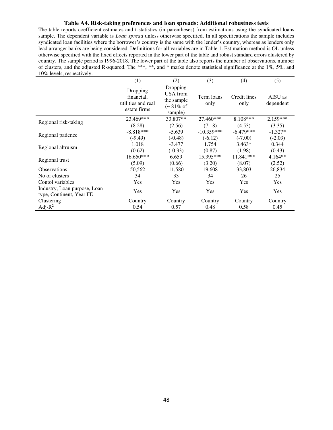#### **Table A4. Risk-taking preferences and loan spreads: Additional robustness tests**

The table reports coefficient estimates and t-statistics (in parentheses) from estimations using the syndicated loans sample. The dependent variable is *Loan spread* unless otherwise specified. In all specifications the sample includes syndicated loan facilities where the borrower's country is the same with the lender's country, whereas as lenders only lead arranger banks are being considered. Definitions for all variables are in Table 1. Estimation method is OL unless otherwise specified with the fixed effects reported in the lower part of the table and robust standard errors clustered by country. The sample period is 1996-2018. The lower part of the table also reports the number of observations, number of clusters, and the adjusted R-squared. The \*\*\*, \*\*, and \* marks denote statistical significance at the 1%, 5%, and 10% levels, respectively.

|                                                          | (1)                                                          | (2)                                                                   | (3)                | (4)                  | (5)                  |
|----------------------------------------------------------|--------------------------------------------------------------|-----------------------------------------------------------------------|--------------------|----------------------|----------------------|
|                                                          | Dropping<br>financial,<br>utilities and real<br>estate firms | Dropping<br>USA from<br>the sample<br>$(-81\% \text{ of }$<br>sample) | Term loans<br>only | Credit lines<br>only | AISU as<br>dependent |
|                                                          | 23.469***                                                    | 33.807**                                                              | 27.460***          | 8.108***             | $2.159***$           |
| Regional risk-taking                                     | (8.28)                                                       | (2.56)                                                                | (7.18)             | (4.53)               | (3.35)               |
|                                                          | $-8.818***$                                                  | $-5.639$                                                              | $-10.359***$       | $-6.479***$          | $-1.327*$            |
| Regional patience                                        | $(-9.49)$                                                    | $(-0.48)$                                                             | $(-6.12)$          | $(-7.00)$            | $(-2.03)$            |
|                                                          | 1.018                                                        | $-3.477$                                                              | 1.754              | $3.463*$             | 0.344                |
| Regional altruism                                        | (0.62)                                                       | $(-0.33)$                                                             | (0.87)             | (1.98)               | (0.43)               |
|                                                          | 16.650***                                                    | 6.659                                                                 | 15.395***          | 11.841***            | $4.164**$            |
| Regional trust                                           | (5.09)                                                       | (0.66)                                                                | (3.20)             | (8.07)               | (2.52)               |
| <b>Observations</b>                                      | 50,562                                                       | 11,580                                                                | 19,608             | 33,803               | 26,834               |
| No of clusters                                           | 34                                                           | 33                                                                    | 34                 | 26                   | 25                   |
| Contol variables                                         | Yes                                                          | <b>Yes</b>                                                            | <b>Yes</b>         | Yes                  | Yes                  |
| Industry, Loan purpose, Loan<br>type, Continent, Year FE | Yes                                                          | Yes                                                                   | Yes                | Yes                  | Yes                  |
| Clustering                                               | Country                                                      | Country                                                               | Country            | Country              | Country              |
| Adj- $R^2$                                               | 0.54                                                         | 0.57                                                                  | 0.48               | 0.58                 | 0.45                 |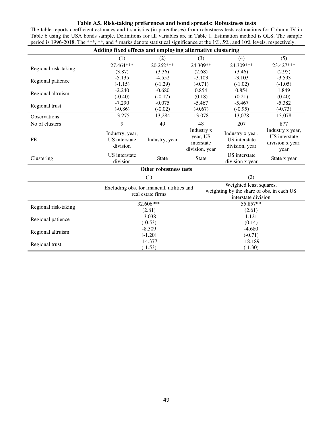### **Table A5. Risk-taking preferences and bond spreads: Robustness tests**

The table reports coefficient estimates and t-statistics (in parentheses) from robustness tests estimations for Column IV in Table 6 using the USA bonds sample. Definitions for all variables are in Table 1. Estimation method is OLS. The sample period is 1996-2018. The \*\*\*, \*\*, and \* marks denote statistical significance at the 1%, 5%, and 10% levels, respectively.

| Adding fixed effects and employing alternative clustering |                                              |                                                                  |                                                        |                                                                                             |                                                               |  |  |  |
|-----------------------------------------------------------|----------------------------------------------|------------------------------------------------------------------|--------------------------------------------------------|---------------------------------------------------------------------------------------------|---------------------------------------------------------------|--|--|--|
|                                                           | (1)                                          | (2)                                                              | (3)                                                    | (4)                                                                                         | (5)                                                           |  |  |  |
|                                                           | $27.464***$                                  | $20.262***$                                                      | $24.309**$                                             | 24.309***                                                                                   | 23.427***                                                     |  |  |  |
| Regional risk-taking                                      | (3.87)                                       | (3.36)                                                           | (2.68)                                                 | (3.46)                                                                                      | (2.95)                                                        |  |  |  |
| Regional patience                                         | $-5.135$                                     | $-4.552$                                                         | $-3.103$                                               | $-3.103$                                                                                    | $-3.593$                                                      |  |  |  |
|                                                           | $(-1.15)$                                    | $(-1.29)$                                                        | $(-0.71)$                                              | $(-1.02)$                                                                                   | $(-1.05)$                                                     |  |  |  |
| Regional altruism                                         | $-2.240$                                     | $-0.680$                                                         | 0.854                                                  | 0.854                                                                                       | 1.849                                                         |  |  |  |
|                                                           | $(-0.40)$                                    | $(-0.17)$                                                        | (0.18)                                                 | (0.21)                                                                                      | (0.40)                                                        |  |  |  |
| Regional trust                                            | $-7.290$                                     | $-0.075$                                                         | $-5.467$                                               | $-5.467$                                                                                    | $-5.382$                                                      |  |  |  |
|                                                           | $(-0.86)$                                    | $(-0.02)$                                                        | $(-0.67)$                                              | $(-0.95)$                                                                                   | $(-0.73)$                                                     |  |  |  |
| <b>Observations</b>                                       | 13,275                                       | 13,284                                                           | 13,078                                                 | 13,078                                                                                      | 13,078                                                        |  |  |  |
| No of clusters                                            | 9                                            | 49                                                               | 48                                                     | 207                                                                                         | 877                                                           |  |  |  |
| FE                                                        | Industry, year,<br>US interstate<br>division | Industry, year                                                   | Industry x<br>year, US<br>interstate<br>division, year | Industry x year,<br>US interstate<br>division, year                                         | Industry x year,<br>US interstate<br>division x year,<br>year |  |  |  |
| Clustering                                                | US interstate<br>division                    | <b>State</b>                                                     | <b>State</b>                                           | US interstate<br>division x year                                                            | State x year                                                  |  |  |  |
|                                                           |                                              | <b>Other robustness tests</b>                                    |                                                        |                                                                                             |                                                               |  |  |  |
|                                                           |                                              | (1)                                                              |                                                        | (2)                                                                                         |                                                               |  |  |  |
|                                                           |                                              | Excluding obs. for financial, utilities and<br>real estate firms |                                                        | Weighted least squares,<br>weighting by the share of obs. in each US<br>interstate division |                                                               |  |  |  |
| Regional risk-taking                                      |                                              | 32.606***                                                        |                                                        | 55.857**                                                                                    |                                                               |  |  |  |
|                                                           |                                              | (2.81)                                                           |                                                        | (2.61)                                                                                      |                                                               |  |  |  |
| Regional patience                                         |                                              | $-3.038$                                                         |                                                        | 1.121                                                                                       |                                                               |  |  |  |
|                                                           |                                              | $(-0.53)$                                                        |                                                        | (0.14)                                                                                      |                                                               |  |  |  |
| Regional altruism                                         |                                              | $-8.309$                                                         |                                                        | $-4.680$                                                                                    |                                                               |  |  |  |
|                                                           |                                              | $(-1.20)$                                                        |                                                        | $(-0.71)$                                                                                   |                                                               |  |  |  |
| Regional trust                                            |                                              | $-14.377$                                                        |                                                        | $-18.189$                                                                                   |                                                               |  |  |  |
|                                                           |                                              | $(-1.53)$                                                        |                                                        | $(-1.30)$                                                                                   |                                                               |  |  |  |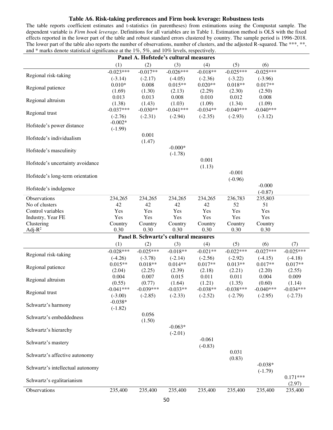#### **Table A6. Risk-taking preferences and Firm book leverage: Robustness tests**

The table reports coefficient estimates and t-statistics (in parentheses) from estimations using the Compustat sample. The dependent variable is *Firm book leverage*. Definitions for all variables are in Table 1. Estimation method is OLS with the fixed effects reported in the lower part of the table and robust standard errors clustered by country. The sample period is 1996-2018. The lower part of the table also reports the number of observations, number of clusters, and the adjusted R-squared. The \*\*\*, \*\*, and \* marks denote statistical significance at the 1%, 5%, and 10% levels, respectively.

|                                        |                        |             | Panel A. Hofstede's cultural measures |            |             |             |             |
|----------------------------------------|------------------------|-------------|---------------------------------------|------------|-------------|-------------|-------------|
|                                        | (1)                    | (2)         | (3)                                   | (4)        | (5)         | (6)         |             |
|                                        | $-0.023***$            | $-0.017**$  | $-0.026***$                           | $-0.018**$ | $-0.025***$ | $-0.025***$ |             |
| Regional risk-taking                   | $(-3.14)$              | $(-2.17)$   | $(-4.05)$                             | $(-2.36)$  | $(-3.22)$   | $(-3.96)$   |             |
| Regional patience                      | $0.010*$               | 0.008       | $0.015**$                             | $0.020**$  | $0.018**$   | $0.017**$   |             |
|                                        | (1.69)                 | (1.30)      | (2.13)                                | (2.29)     | (2.30)      | (2.50)      |             |
| Regional altruism                      | 0.013                  | 0.013       | 0.008                                 | 0.010      | 0.012       | 0.008       |             |
|                                        | (1.38)                 | (1.43)      | (1.03)                                | (1.09)     | (1.34)      | (1.09)      |             |
| Regional trust                         | $-0.037***$            | $-0.030**$  | $-0.041***$                           | $-0.034**$ | $-0.040***$ | $-0.040***$ |             |
|                                        | $(-2.76)$<br>$-0.002*$ | $(-2.31)$   | $(-2.94)$                             | $(-2.35)$  | $(-2.93)$   | $(-3.12)$   |             |
| Hofstede's power distance              | $(-1.99)$              |             |                                       |            |             |             |             |
|                                        |                        | 0.001       |                                       |            |             |             |             |
| Hofstede's individualism               |                        | (1.47)      |                                       |            |             |             |             |
|                                        |                        |             | $-0.000*$                             |            |             |             |             |
| Hofstede's masculinity                 |                        |             | $(-1.78)$                             |            |             |             |             |
|                                        |                        |             |                                       | 0.001      |             |             |             |
| Hofstede's uncertainty avoidance       |                        |             |                                       | (1.13)     |             |             |             |
| Hofstede's long-term orientation       |                        |             |                                       |            | $-0.001$    |             |             |
|                                        |                        |             |                                       |            | $(-0.96)$   |             |             |
| Hofstede's indulgence                  |                        |             |                                       |            |             | $-0.000$    |             |
|                                        |                        |             |                                       |            |             | $(-0.87)$   |             |
| Observations                           | 234,265                | 234,265     | 234,265                               | 234,265    | 236,783     | 235,803     |             |
| No of clusters                         | 42<br>Yes              | 42<br>Yes   | 42                                    | 42         | 52<br>Yes   | 51          |             |
| Control variables<br>Industry, Year FE | Yes                    | Yes         | Yes<br>Yes                            | Yes<br>Yes | Yes         | Yes<br>Yes  |             |
| Clustering                             | Country                | Country     | Country                               | Country    | Country     | Country     |             |
| Adj- $R^2$                             | 0.30                   | 0.30        | 0.30                                  | 0.30       | 0.30        | 0.30        |             |
|                                        |                        |             | Panel B. Schwartz's cultural measures |            |             |             |             |
|                                        | (1)                    | (2)         | (3)                                   | (4)        | (5)         | (6)         | (7)         |
|                                        | $-0.028***$            | $-0.025***$ | $-0.018**$                            | $-0.021**$ | $-0.022***$ | $-0.027***$ | $-0.025***$ |
| Regional risk-taking                   | $(-4.26)$              | $(-3.78)$   | $(-2.14)$                             | $(-2.56)$  | $(-2.92)$   | $(-4.15)$   | $(-4.18)$   |
|                                        | $0.015**$              | $0.018**$   | $0.014**$                             | $0.017**$  | $0.013**$   | $0.017**$   | $0.017**$   |
| Regional patience                      | (2.04)                 | (2.25)      | (2.39)                                | (2.18)     | (2.21)      | (2.20)      | (2.55)      |
|                                        | 0.004                  | 0.007       | 0.015                                 | 0.011      | 0.011       | 0.004       | 0.009       |
| Regional altruism                      | (0.55)                 | (0.77)      | (1.64)                                | (1.21)     | (1.35)      | (0.60)      | (1.14)      |
| Regional trust                         | $-0.041***$            | $-0.039***$ | $-0.033**$                            | $-0.038**$ | $-0.038***$ | $-0.040***$ | $-0.034***$ |
|                                        | $(-3.00)$              | $(-2.85)$   | $(-2.33)$                             | $(-2.52)$  | $(-2.79)$   | $(-2.95)$   | $(-2.73)$   |
| Schwartz's harmony                     | $-0.038*$              |             |                                       |            |             |             |             |
|                                        | $(-1.82)$              |             |                                       |            |             |             |             |
| Schwartz's embeddedness                |                        | 0.056       |                                       |            |             |             |             |
|                                        |                        | (1.50)      | $-0.063*$                             |            |             |             |             |
| Schwartz's hierarchy                   |                        |             | $(-2.01)$                             |            |             |             |             |
|                                        |                        |             |                                       | $-0.061$   |             |             |             |
| Schwartz's mastery                     |                        |             |                                       | $(-0.83)$  |             |             |             |
|                                        |                        |             |                                       |            | 0.031       |             |             |
| Schwartz's affective autonomy          |                        |             |                                       |            | (0.83)      |             |             |
|                                        |                        |             |                                       |            |             | $-0.038*$   |             |
| Schwartz's intellectual autonomy       |                        |             |                                       |            |             | $(-1.79)$   |             |
| Schwartz's egalitarianism              |                        |             |                                       |            |             |             | $0.171***$  |
|                                        |                        |             |                                       |            |             |             | (2.97)      |
| Observations                           | 235,400                | 235,400     | 235,400                               | 235,400    | 235,400     | 235,400     | 235,400     |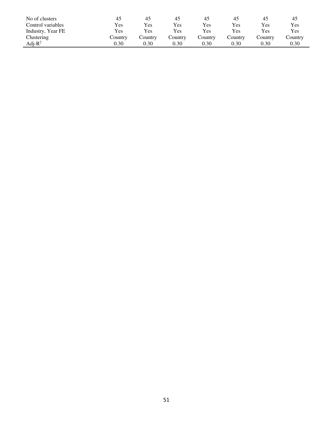| No of clusters    | 45         | 45         | 45      | 45      | 45         | 45      | 45      |
|-------------------|------------|------------|---------|---------|------------|---------|---------|
| Control variables | Yes        | <b>Yes</b> | Yes     | Yes     | <b>Yes</b> | Yes     | Yes     |
| Industry, Year FE | <b>Yes</b> | Yes        | Yes     | Yes     | <b>Yes</b> | Yes     | Yes     |
| Clustering        | Country    | Country    | Country | Country | Country    | Country | Country |
| Adj- $R^2$        | 0.30       | 0.30       | 0.30    | 0.30    | 0.30       | 0.30    | 0.30    |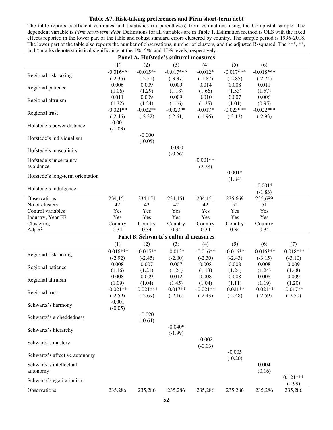#### **Table A7. Risk-taking preferences and Firm short-term debt**

The table reports coefficient estimates and t-statistics (in parentheses) from estimations using the Compustat sample. The dependent variable is *Firm short-term debt*. Definitions for all variables are in Table 1. Estimation method is OLS with the fixed effects reported in the lower part of the table and robust standard errors clustered by country. The sample period is 1996-2018. The lower part of the table also reports the number of observations, number of clusters, and the adjusted R-squared. The \*\*\*, \*\*, and \* marks denote statistical significance at the 1%, 5%, and 10% levels, respectively.

|                                  |                      | Panel A. Hofstede's cultural measures         |                      |                      |                      |                      |                      |
|----------------------------------|----------------------|-----------------------------------------------|----------------------|----------------------|----------------------|----------------------|----------------------|
|                                  | (1)                  | (2)                                           | (3)                  | (4)                  | (5)                  | (6)                  |                      |
|                                  | $-0.016**$           | $-0.015**$                                    | $-0.017***$          | $-0.012*$            | $-0.017***$          | $-0.018***$          |                      |
| Regional risk-taking             | $(-2.36)$            | $(-2.51)$                                     | $(-3.37)$            | $(-1.87)$            | $(-2.85)$            | $(-2.74)$            |                      |
|                                  | 0.006                | 0.009                                         | 0.009                | 0.014                | 0.008                | 0.011                |                      |
| Regional patience                | (1.06)               | (1.29)                                        | (1.18)               | (1.66)               | (1.53)               | (1.57)               |                      |
| Regional altruism                | 0.011                | 0.009                                         | 0.009                | 0.010                | 0.007                | 0.006                |                      |
|                                  | (1.32)               | (1.24)                                        | (1.16)               | (1.35)               | (1.01)               | (0.95)               |                      |
| Regional trust                   | $-0.021**$           | $-0.022**$                                    | $-0.023**$           | $-0.017*$            | $-0.023***$          | $-0.022***$          |                      |
|                                  | $(-2.46)$            | $(-2.32)$                                     | $(-2.61)$            | $(-1.96)$            | $(-3.13)$            | $(-2.93)$            |                      |
| Hofstede's power distance        | $-0.001$             |                                               |                      |                      |                      |                      |                      |
|                                  | $(-1.03)$            |                                               |                      |                      |                      |                      |                      |
| Hofstede's individualism         |                      | $-0.000$<br>$(-0.05)$                         |                      |                      |                      |                      |                      |
|                                  |                      |                                               | $-0.000$             |                      |                      |                      |                      |
| Hofstede's masculinity           |                      |                                               | $(-0.66)$            |                      |                      |                      |                      |
| Hofstede's uncertainty           |                      |                                               |                      | $0.001**$            |                      |                      |                      |
| avoidance                        |                      |                                               |                      | (2.28)               |                      |                      |                      |
|                                  |                      |                                               |                      |                      | $0.001*$             |                      |                      |
| Hofstede's long-term orientation |                      |                                               |                      |                      | (1.84)               |                      |                      |
| Hofstede's indulgence            |                      |                                               |                      |                      |                      | $-0.001*$            |                      |
|                                  |                      |                                               |                      |                      |                      | $(-1.83)$            |                      |
| Observations                     | 234,151              | 234,151                                       | 234,151              | 234,151              | 236,669              | 235,689              |                      |
| No of clusters                   | 42                   | 42                                            | 42                   | 42                   | 52                   | 51                   |                      |
| Control variables                | Yes                  | Yes                                           | Yes                  | Yes                  | Yes                  | Yes                  |                      |
| Industry, Year FE                | Yes                  | Yes                                           | Yes                  | Yes                  | Yes                  | Yes                  |                      |
| Clustering                       | Country              | Country                                       | Country              | Country              | Country              | Country              |                      |
| Adj- $R^2$                       | 0.34                 | 0.34<br>Panel B. Schwartz's cultural measures | 0.34                 | 0.34                 | 0.34                 | 0.34                 |                      |
|                                  |                      |                                               |                      |                      |                      |                      |                      |
|                                  | (1)                  | (2)                                           | (3)                  | (4)                  | (5)                  | (6)                  | (7)                  |
| Regional risk-taking             | $-0.016***$          | $-0.015**$                                    | $-0.013*$            | $-0.016**$           | $-0.016**$           | $-0.016***$          | $-0.018***$          |
|                                  | $(-2.92)$            | $(-2.45)$                                     | $(-2.00)$            | $(-2.30)$            | $(-2.43)$            | $(-3.15)$            | $(-3.10)$            |
| Regional patience                | 0.008                | 0.007                                         | 0.007                | 0.008                | 0.008                | 0.008                | 0.009                |
|                                  | (1.16)               | (1.21)                                        | (1.24)               | (1.13)               | (1.24)               | (1.24)               | (1.48)               |
| Regional altruism                | 0.008                | 0.009                                         | 0.012                | 0.008                | 0.008                | 0.008                | 0.009                |
|                                  | (1.09)<br>$-0.021**$ | (1.04)<br>$-0.021***$                         | (1.45)<br>$-0.017**$ | (1.04)<br>$-0.021**$ | (1.11)<br>$-0.021**$ | (1.19)<br>$-0.021**$ | (1.20)<br>$-0.017**$ |
| Regional trust                   | $(-2.59)$            | $(-2.69)$                                     | $(-2.16)$            | $(-2.43)$            | $(-2.48)$            | $(-2.59)$            | $(-2.50)$            |
|                                  | $-0.001$             |                                               |                      |                      |                      |                      |                      |
| Schwartz's harmony               | $(-0.05)$            |                                               |                      |                      |                      |                      |                      |
|                                  |                      | $-0.020$                                      |                      |                      |                      |                      |                      |
| Schwartz's embeddedness          |                      | $(-0.64)$                                     |                      |                      |                      |                      |                      |
|                                  |                      |                                               | $-0.040*$            |                      |                      |                      |                      |
| Schwartz's hierarchy             |                      |                                               | $(-1.99)$            |                      |                      |                      |                      |
| Schwartz's mastery               |                      |                                               |                      | $-0.002$             |                      |                      |                      |
|                                  |                      |                                               |                      | $(-0.03)$            |                      |                      |                      |
| Schwartz's affective autonomy    |                      |                                               |                      |                      | $-0.005$             |                      |                      |
|                                  |                      |                                               |                      |                      | $(-0.20)$            |                      |                      |
| Schwartz's intellectual          |                      |                                               |                      |                      |                      | 0.004                |                      |
| autonomy                         |                      |                                               |                      |                      |                      | (0.16)               | $0.121***$           |
| Schwartz's egalitarianism        |                      |                                               |                      |                      |                      |                      | (2.99)               |
| Observations                     | 235,286              | 235,286                                       | 235,286              | 235,286              | 235,286              | 235,286              | 235,286              |
|                                  |                      |                                               |                      |                      |                      |                      |                      |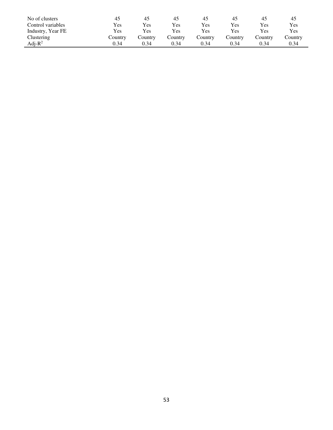| No of clusters    | 45         | 45         | 45         | 45      | 45      | 45         | 45      |
|-------------------|------------|------------|------------|---------|---------|------------|---------|
| Control variables | <b>Yes</b> | Yes        | <b>Yes</b> | Yes     | Yes     | Yes        | Yes     |
| Industry, Year FE | <b>Yes</b> | <b>Yes</b> | Yes.       | Yes     | Yes     | <b>Yes</b> | Yes     |
| Clustering        | Country    | Country    | Country    | Country | Countrv | Country    | Country |
| Adj- $R^2$        | 0.34       | 0.34       | 0.34       | 0.34    | 0.34    | 0.34       | 0.34    |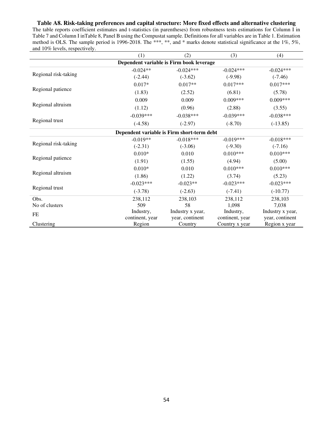# **Table A8. Risk-taking preferences and capital structure: More fixed effects and alternative clustering**

The table reports coefficient estimates and t-statistics (in parentheses) from robustness tests estimations for Column I in Table 7 and Column I inTable 8, Panel B using the Compustat sample. Definitions for all variables are in Table 1. Estimation method is OLS. The sample period is 1996-2018. The \*\*\*, \*\*, and \* marks denote statistical significance at the 1%, 5%, and 10% levels, respectively.

|                      | (1)                                        | (2)              | (3)             | (4)              |
|----------------------|--------------------------------------------|------------------|-----------------|------------------|
|                      | Dependent variable is Firm book leverage   |                  |                 |                  |
|                      | $-0.024**$                                 | $-0.024***$      | $-0.024***$     | $-0.024***$      |
| Regional risk-taking | $(-2.44)$                                  | $(-3.62)$        | $(-9.98)$       | $(-7.46)$        |
|                      | $0.017*$                                   | $0.017**$        | $0.017***$      | $0.017***$       |
| Regional patience    | (1.83)                                     | (2.52)           | (6.81)          | (5.78)           |
|                      | 0.009                                      | 0.009            | $0.009***$      | $0.009***$       |
| Regional altruism    | (1.12)                                     | (0.96)           | (2.88)          | (3.55)           |
|                      | $-0.039***$                                | $-0.038***$      | $-0.039***$     | $-0.038***$      |
| Regional trust       | $(-4.58)$                                  | $(-2.97)$        | $(-8.70)$       | $(-13.85)$       |
|                      | Dependent variable is Firm short-term debt |                  |                 |                  |
|                      | $-0.019**$                                 | $-0.018***$      | $-0.019***$     | $-0.018***$      |
| Regional risk-taking | $(-2.31)$                                  | $(-3.06)$        | $(-9.30)$       | $(-7.16)$        |
|                      | $0.010*$                                   | 0.010            | $0.010***$      | $0.010***$       |
| Regional patience    | (1.91)                                     | (1.55)           | (4.94)          | (5.00)           |
| Regional altruism    | $0.010*$                                   | 0.010            | $0.010***$      | $0.010***$       |
|                      | (1.86)                                     | (1.22)           | (3.74)          | (5.23)           |
| Regional trust       | $-0.023***$                                | $-0.023**$       | $-0.023***$     | $-0.023***$      |
|                      | $(-3.78)$                                  | $(-2.63)$        | $(-7.41)$       | $(-10.77)$       |
| Obs.                 | 238,112                                    | 238,103          | 238,112         | 238,103          |
| No of clusters       | 509                                        | 58               | 1,098           | 7,038            |
| <b>FE</b>            | Industry,                                  | Industry x year, | Industry,       | Industry x year, |
|                      | continent, year                            | year, continent  | continent, year | year, continent  |
| Clustering           | Region                                     | Country          | Country x year  | Region x year    |